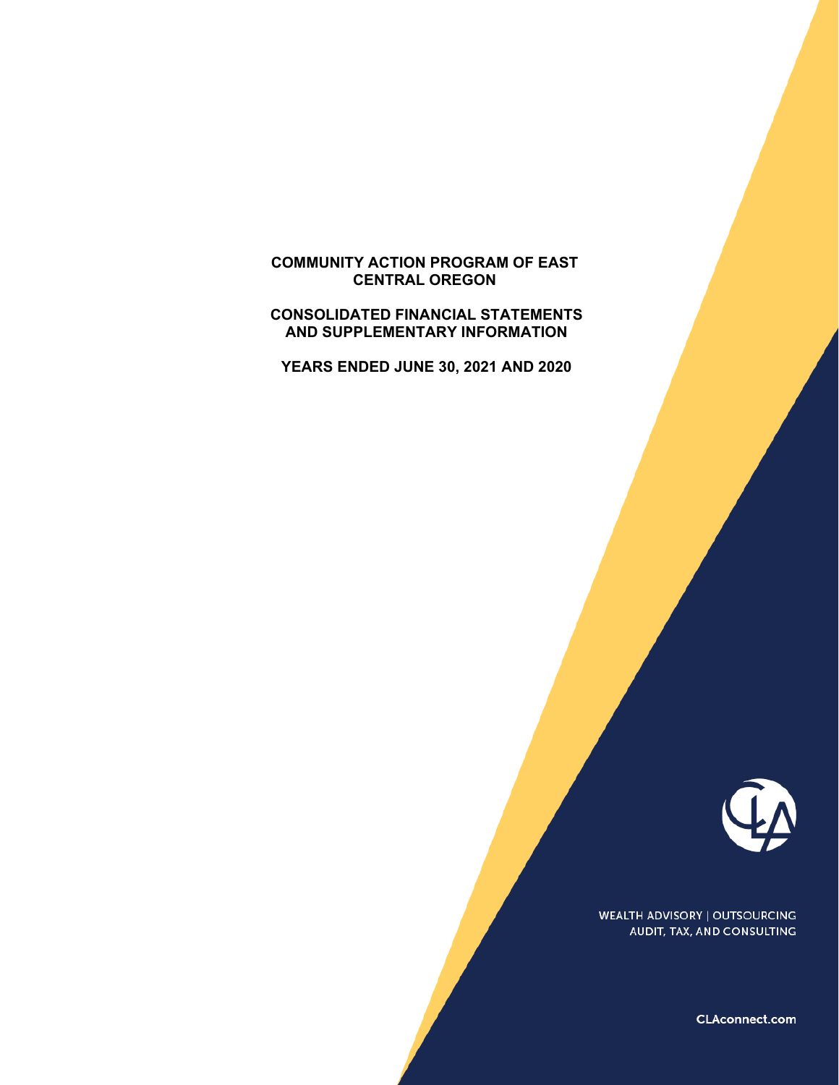## **COMMUNITY ACTION PROGRAM OF EAST CENTRAL OREGON**

#### **CONSOLIDATED FINANCIAL STATEMENTS AND SUPPLEMENTARY INFORMATION**

**YEARS ENDED JUNE 30, 2021 AND 2020** 



**WEALTH ADVISORY | OUTSOURCING** AUDIT, TAX, AND CONSULTING

CLAconnect.com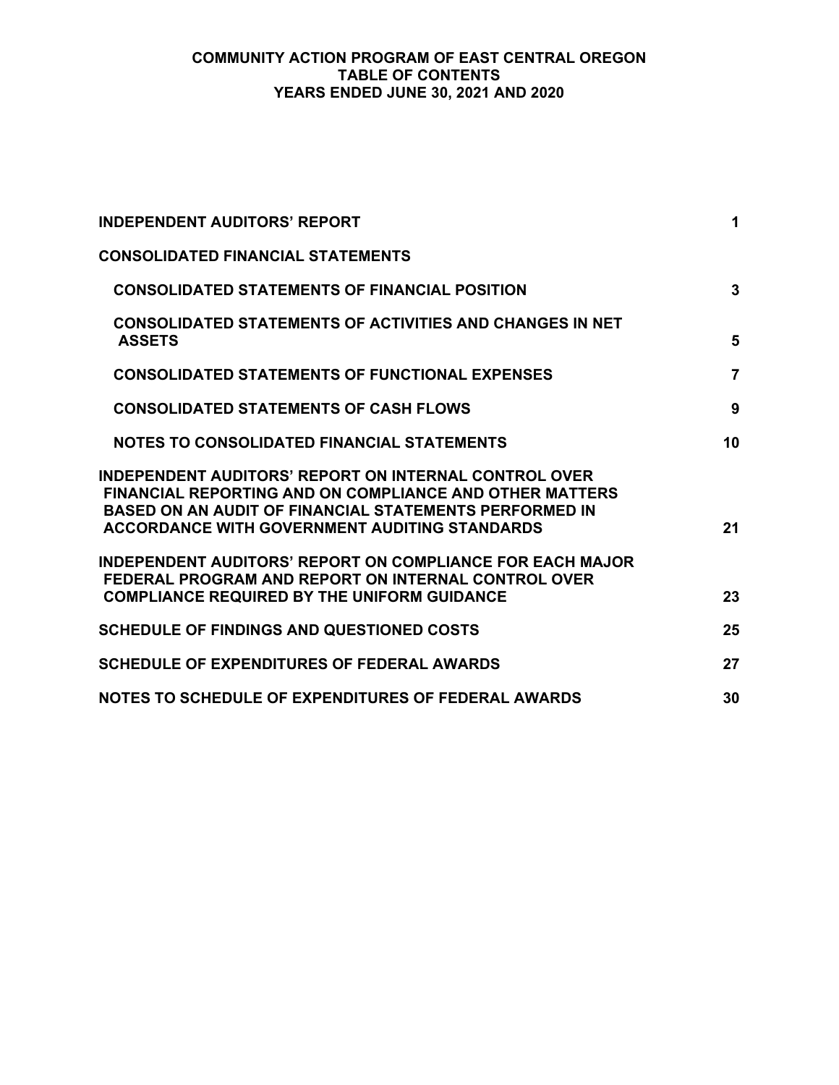# **COMMUNITY ACTION PROGRAM OF EAST CENTRAL OREGON TABLE OF CONTENTS YEARS ENDED JUNE 30, 2021 AND 2020**

| <b>INDEPENDENT AUDITORS' REPORT</b>                                                                                                                                                                                                                     | 1              |
|---------------------------------------------------------------------------------------------------------------------------------------------------------------------------------------------------------------------------------------------------------|----------------|
| <b>CONSOLIDATED FINANCIAL STATEMENTS</b>                                                                                                                                                                                                                |                |
| <b>CONSOLIDATED STATEMENTS OF FINANCIAL POSITION</b>                                                                                                                                                                                                    | $\mathbf{3}$   |
| <b>CONSOLIDATED STATEMENTS OF ACTIVITIES AND CHANGES IN NET</b><br><b>ASSETS</b>                                                                                                                                                                        | 5              |
| <b>CONSOLIDATED STATEMENTS OF FUNCTIONAL EXPENSES</b>                                                                                                                                                                                                   | $\overline{7}$ |
| <b>CONSOLIDATED STATEMENTS OF CASH FLOWS</b>                                                                                                                                                                                                            | 9              |
| NOTES TO CONSOLIDATED FINANCIAL STATEMENTS                                                                                                                                                                                                              | 10             |
| <b>INDEPENDENT AUDITORS' REPORT ON INTERNAL CONTROL OVER</b><br><b>FINANCIAL REPORTING AND ON COMPLIANCE AND OTHER MATTERS</b><br><b>BASED ON AN AUDIT OF FINANCIAL STATEMENTS PERFORMED IN</b><br><b>ACCORDANCE WITH GOVERNMENT AUDITING STANDARDS</b> | 21             |
| <b>INDEPENDENT AUDITORS' REPORT ON COMPLIANCE FOR EACH MAJOR</b><br>FEDERAL PROGRAM AND REPORT ON INTERNAL CONTROL OVER<br><b>COMPLIANCE REQUIRED BY THE UNIFORM GUIDANCE</b>                                                                           | 23             |
| <b>SCHEDULE OF FINDINGS AND QUESTIONED COSTS</b>                                                                                                                                                                                                        | 25             |
| <b>SCHEDULE OF EXPENDITURES OF FEDERAL AWARDS</b>                                                                                                                                                                                                       | 27             |
| NOTES TO SCHEDULE OF EXPENDITURES OF FEDERAL AWARDS                                                                                                                                                                                                     | 30             |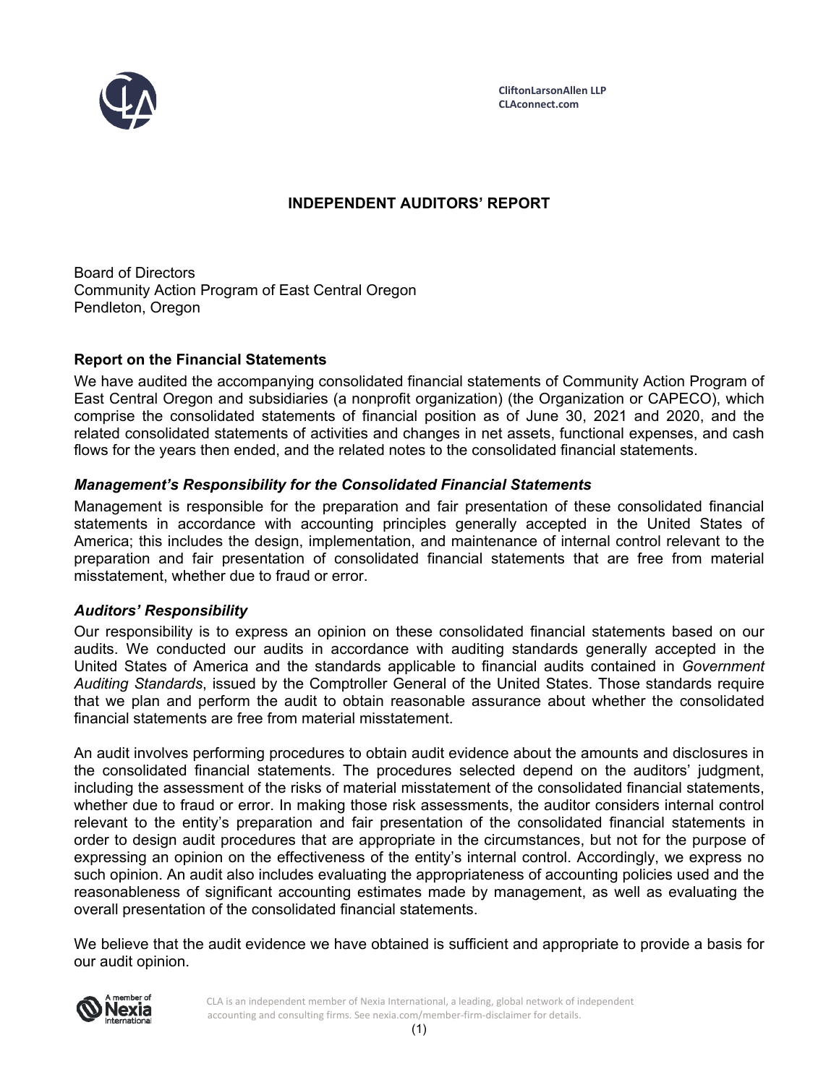

**CliftonLarsonAllen LLP CLAconnect.com**

# **INDEPENDENT AUDITORS' REPORT**

Board of Directors Community Action Program of East Central Oregon Pendleton, Oregon

## **Report on the Financial Statements**

We have audited the accompanying consolidated financial statements of Community Action Program of East Central Oregon and subsidiaries (a nonprofit organization) (the Organization or CAPECO), which comprise the consolidated statements of financial position as of June 30, 2021 and 2020, and the related consolidated statements of activities and changes in net assets, functional expenses, and cash flows for the years then ended, and the related notes to the consolidated financial statements.

## *Management's Responsibility for the Consolidated Financial Statements*

Management is responsible for the preparation and fair presentation of these consolidated financial statements in accordance with accounting principles generally accepted in the United States of America; this includes the design, implementation, and maintenance of internal control relevant to the preparation and fair presentation of consolidated financial statements that are free from material misstatement, whether due to fraud or error.

### *Auditors' Responsibility*

Our responsibility is to express an opinion on these consolidated financial statements based on our audits. We conducted our audits in accordance with auditing standards generally accepted in the United States of America and the standards applicable to financial audits contained in *Government Auditing Standards*, issued by the Comptroller General of the United States. Those standards require that we plan and perform the audit to obtain reasonable assurance about whether the consolidated financial statements are free from material misstatement.

An audit involves performing procedures to obtain audit evidence about the amounts and disclosures in the consolidated financial statements. The procedures selected depend on the auditors' judgment, including the assessment of the risks of material misstatement of the consolidated financial statements, whether due to fraud or error. In making those risk assessments, the auditor considers internal control relevant to the entity's preparation and fair presentation of the consolidated financial statements in order to design audit procedures that are appropriate in the circumstances, but not for the purpose of expressing an opinion on the effectiveness of the entity's internal control. Accordingly, we express no such opinion. An audit also includes evaluating the appropriateness of accounting policies used and the reasonableness of significant accounting estimates made by management, as well as evaluating the overall presentation of the consolidated financial statements.

We believe that the audit evidence we have obtained is sufficient and appropriate to provide a basis for our audit opinion.



CLA is an independent member of Nexia International, a leading, global network of independent accounting and consulting firms. See nexia.com/member‐firm‐disclaimer for details.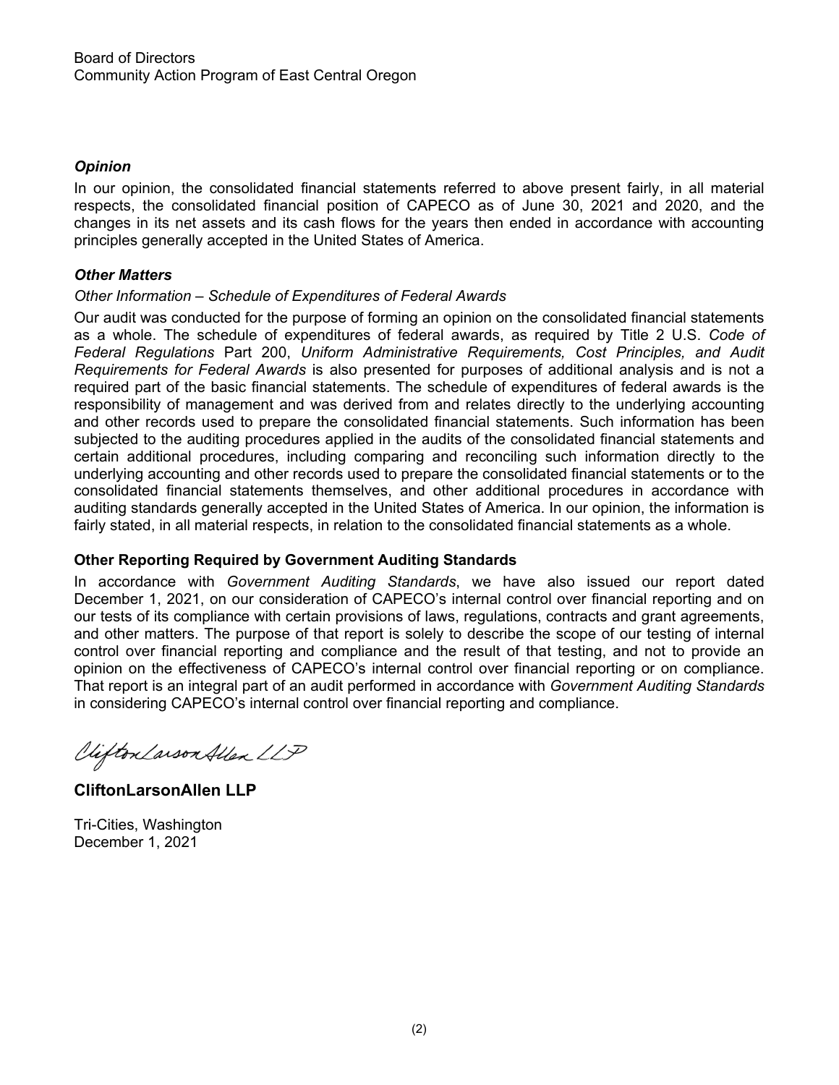# *Opinion*

In our opinion, the consolidated financial statements referred to above present fairly, in all material respects, the consolidated financial position of CAPECO as of June 30, 2021 and 2020, and the changes in its net assets and its cash flows for the years then ended in accordance with accounting principles generally accepted in the United States of America.

# *Other Matters*

## *Other Information – Schedule of Expenditures of Federal Awards*

Our audit was conducted for the purpose of forming an opinion on the consolidated financial statements as a whole. The schedule of expenditures of federal awards, as required by Title 2 U.S. *Code of Federal Regulations* Part 200, *Uniform Administrative Requirements, Cost Principles, and Audit Requirements for Federal Awards* is also presented for purposes of additional analysis and is not a required part of the basic financial statements. The schedule of expenditures of federal awards is the responsibility of management and was derived from and relates directly to the underlying accounting and other records used to prepare the consolidated financial statements. Such information has been subjected to the auditing procedures applied in the audits of the consolidated financial statements and certain additional procedures, including comparing and reconciling such information directly to the underlying accounting and other records used to prepare the consolidated financial statements or to the consolidated financial statements themselves, and other additional procedures in accordance with auditing standards generally accepted in the United States of America. In our opinion, the information is fairly stated, in all material respects, in relation to the consolidated financial statements as a whole.

## **Other Reporting Required by Government Auditing Standards**

In accordance with *Government Auditing Standards*, we have also issued our report dated December 1, 2021, on our consideration of CAPECO's internal control over financial reporting and on our tests of its compliance with certain provisions of laws, regulations, contracts and grant agreements, and other matters. The purpose of that report is solely to describe the scope of our testing of internal control over financial reporting and compliance and the result of that testing, and not to provide an opinion on the effectiveness of CAPECO's internal control over financial reporting or on compliance. That report is an integral part of an audit performed in accordance with *Government Auditing Standards* in considering CAPECO's internal control over financial reporting and compliance.

Clifton Larson Allen LLP

**CliftonLarsonAllen LLP** 

Tri-Cities, Washington December 1, 2021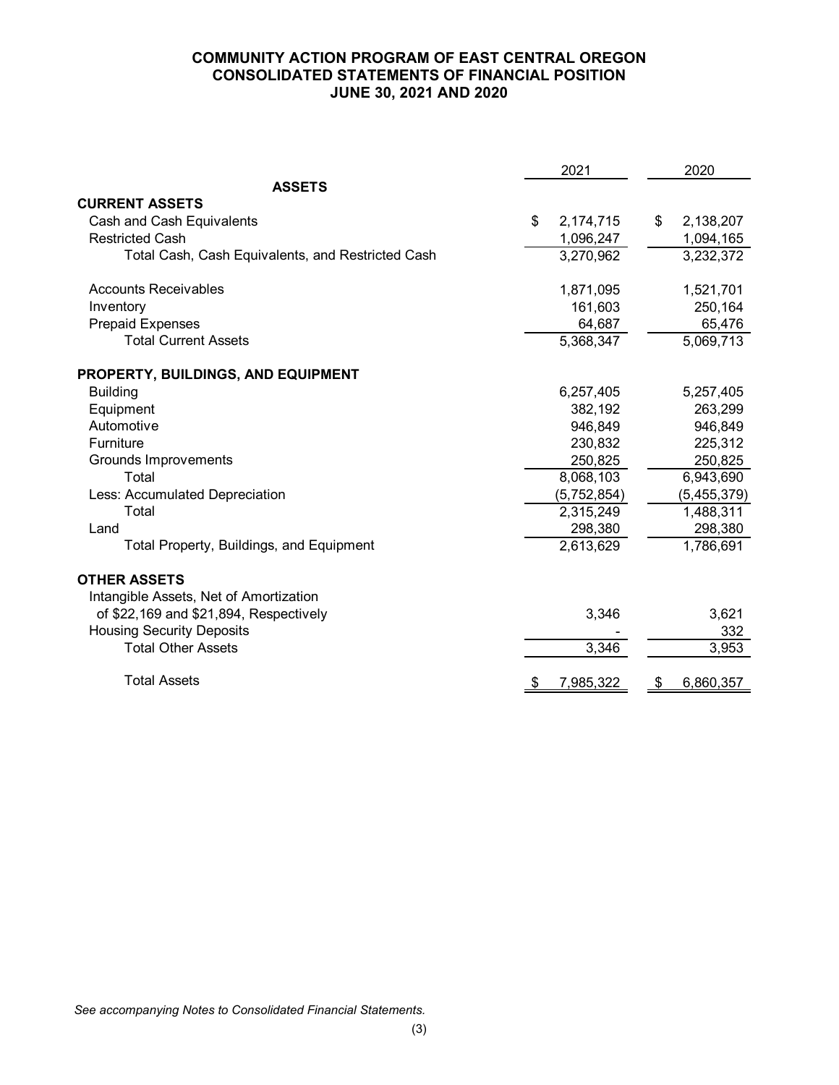# **COMMUNITY ACTION PROGRAM OF EAST CENTRAL OREGON CONSOLIDATED STATEMENTS OF FINANCIAL POSITION JUNE 30, 2021 AND 2020**

|                                                   | 2021            | 2020            |
|---------------------------------------------------|-----------------|-----------------|
| <b>ASSETS</b>                                     |                 |                 |
| <b>CURRENT ASSETS</b>                             |                 |                 |
| Cash and Cash Equivalents                         | \$<br>2,174,715 | \$<br>2,138,207 |
| <b>Restricted Cash</b>                            | 1,096,247       | 1,094,165       |
| Total Cash, Cash Equivalents, and Restricted Cash | 3,270,962       | 3,232,372       |
| <b>Accounts Receivables</b>                       | 1,871,095       | 1,521,701       |
| Inventory                                         | 161,603         | 250,164         |
| <b>Prepaid Expenses</b>                           | 64,687          | 65,476          |
| <b>Total Current Assets</b>                       | 5,368,347       | 5,069,713       |
| PROPERTY, BUILDINGS, AND EQUIPMENT                |                 |                 |
| <b>Building</b>                                   | 6,257,405       | 5,257,405       |
| Equipment                                         | 382,192         | 263,299         |
| Automotive                                        | 946,849         | 946,849         |
| Furniture                                         | 230,832         | 225,312         |
| Grounds Improvements                              | 250,825         | 250,825         |
| Total                                             | 8,068,103       | 6,943,690       |
| Less: Accumulated Depreciation                    | (5, 752, 854)   | (5,455,379)     |
| Total                                             | 2,315,249       | 1,488,311       |
| Land                                              | 298,380         | 298,380         |
| Total Property, Buildings, and Equipment          | 2,613,629       | 1,786,691       |
| <b>OTHER ASSETS</b>                               |                 |                 |
| Intangible Assets, Net of Amortization            |                 |                 |
| of \$22,169 and \$21,894, Respectively            | 3,346           | 3,621           |
| <b>Housing Security Deposits</b>                  |                 | 332             |
| <b>Total Other Assets</b>                         | 3,346           | 3,953           |
| <b>Total Assets</b>                               | 7,985,322<br>Φ  | 6,860,357<br>\$ |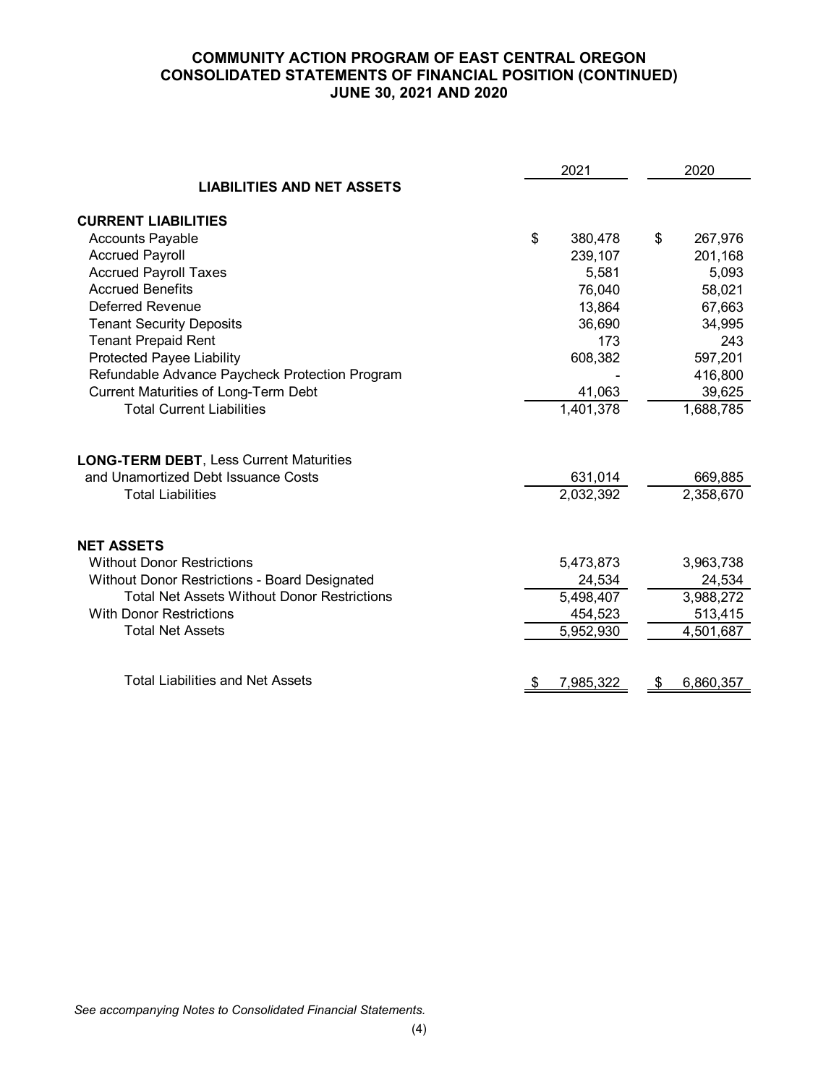## **COMMUNITY ACTION PROGRAM OF EAST CENTRAL OREGON CONSOLIDATED STATEMENTS OF FINANCIAL POSITION (CONTINUED) JUNE 30, 2021 AND 2020**

| 2021          | 2020 |           |
|---------------|------|-----------|
|               |      |           |
|               |      |           |
| \$<br>380,478 | \$   | 267,976   |
| 239,107       |      | 201,168   |
| 5,581         |      | 5,093     |
| 76,040        |      | 58,021    |
| 13,864        |      | 67,663    |
| 36,690        |      | 34,995    |
| 173           |      | 243       |
| 608,382       |      | 597,201   |
|               |      | 416,800   |
| 41,063        |      | 39,625    |
| 1,401,378     |      | 1,688,785 |
|               |      |           |
| 631,014       |      | 669,885   |
| 2,032,392     |      | 2,358,670 |
|               |      |           |
| 5,473,873     |      | 3,963,738 |
| 24,534        |      | 24,534    |
| 5,498,407     |      | 3,988,272 |
| 454,523       |      | 513,415   |
| 5,952,930     |      | 4,501,687 |
| 7,985,322     | S    | 6,860,357 |
|               |      |           |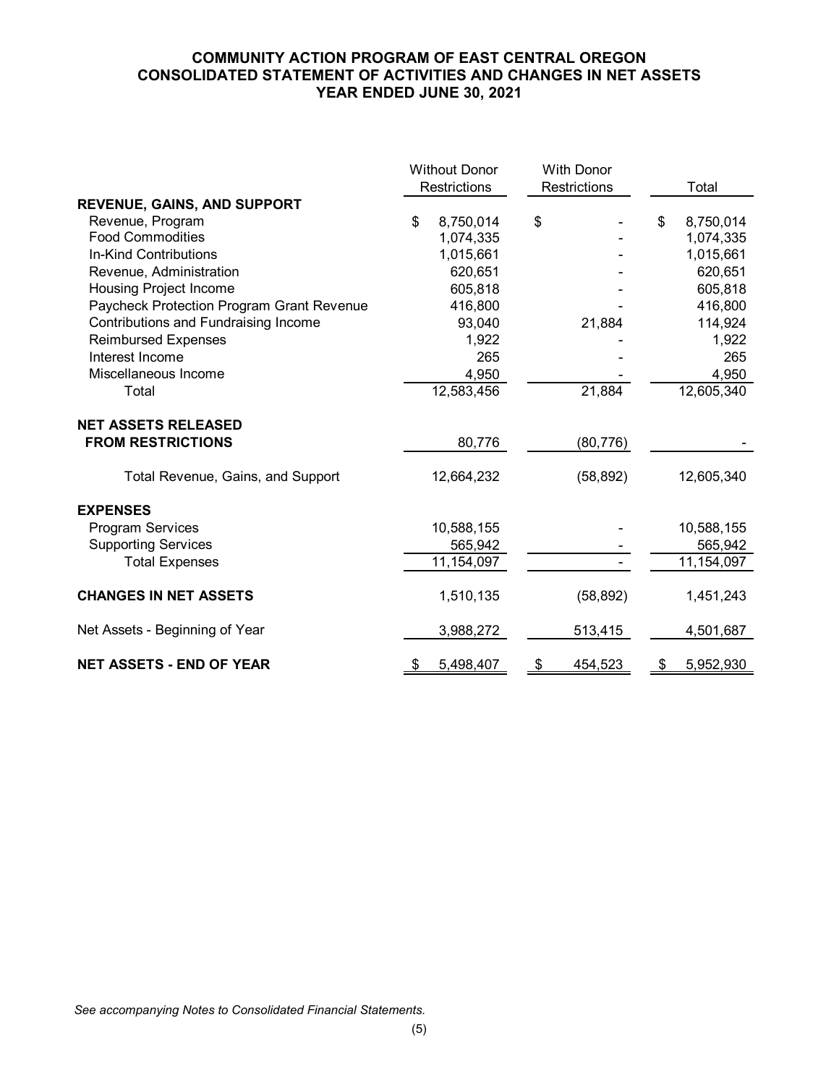## **COMMUNITY ACTION PROGRAM OF EAST CENTRAL OREGON CONSOLIDATED STATEMENT OF ACTIVITIES AND CHANGES IN NET ASSETS YEAR ENDED JUNE 30, 2021**

|                                           | <b>Without Donor</b> |              | <b>With Donor</b> |              |                 |
|-------------------------------------------|----------------------|--------------|-------------------|--------------|-----------------|
|                                           |                      | Restrictions |                   | Restrictions | Total           |
| <b>REVENUE, GAINS, AND SUPPORT</b>        |                      |              |                   |              |                 |
| Revenue, Program                          | \$                   | 8,750,014    | \$                |              | \$<br>8,750,014 |
| <b>Food Commodities</b>                   |                      | 1,074,335    |                   |              | 1,074,335       |
| In-Kind Contributions                     |                      | 1,015,661    |                   |              | 1,015,661       |
| Revenue, Administration                   |                      | 620,651      |                   |              | 620,651         |
| Housing Project Income                    |                      | 605,818      |                   |              | 605,818         |
| Paycheck Protection Program Grant Revenue |                      | 416,800      |                   |              | 416,800         |
| Contributions and Fundraising Income      |                      | 93,040       |                   | 21,884       | 114,924         |
| <b>Reimbursed Expenses</b>                |                      | 1,922        |                   |              | 1,922           |
| Interest Income                           |                      | 265          |                   |              | 265             |
| Miscellaneous Income                      |                      | 4,950        |                   |              | 4,950           |
| Total                                     |                      | 12,583,456   |                   | 21,884       | 12,605,340      |
| <b>NET ASSETS RELEASED</b>                |                      |              |                   |              |                 |
| <b>FROM RESTRICTIONS</b>                  |                      | 80,776       |                   | (80, 776)    |                 |
| Total Revenue, Gains, and Support         |                      | 12,664,232   |                   | (58, 892)    | 12,605,340      |
| <b>EXPENSES</b>                           |                      |              |                   |              |                 |
| <b>Program Services</b>                   |                      | 10,588,155   |                   |              | 10,588,155      |
| <b>Supporting Services</b>                |                      | 565,942      |                   |              | 565,942         |
| <b>Total Expenses</b>                     |                      | 11,154,097   |                   |              | 11,154,097      |
| <b>CHANGES IN NET ASSETS</b>              |                      | 1,510,135    |                   | (58, 892)    | 1,451,243       |
| Net Assets - Beginning of Year            |                      | 3,988,272    |                   | 513,415      | 4,501,687       |
| <b>NET ASSETS - END OF YEAR</b>           | \$                   | 5,498,407    | \$                | 454,523      | \$<br>5,952,930 |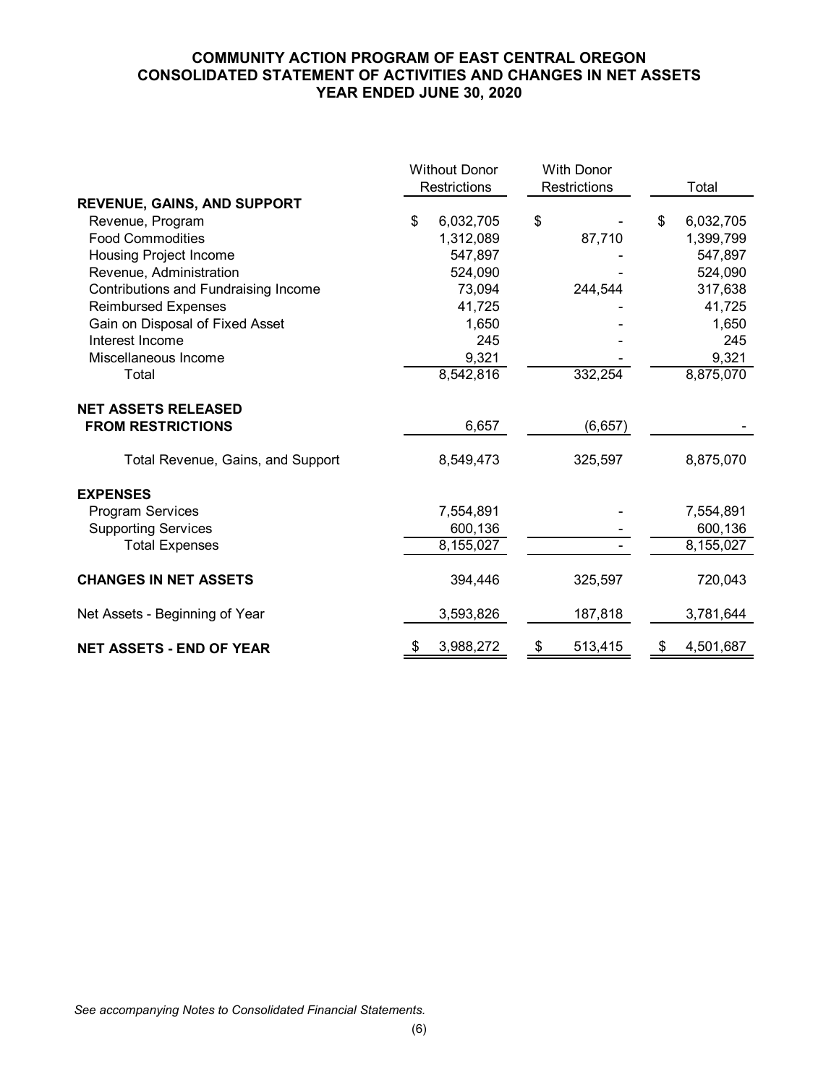## **COMMUNITY ACTION PROGRAM OF EAST CENTRAL OREGON CONSOLIDATED STATEMENT OF ACTIVITIES AND CHANGES IN NET ASSETS YEAR ENDED JUNE 30, 2020**

|                                      | <b>Without Donor</b> |              | <b>With Donor</b> |    |           |
|--------------------------------------|----------------------|--------------|-------------------|----|-----------|
|                                      |                      | Restrictions | Restrictions      |    | Total     |
| <b>REVENUE, GAINS, AND SUPPORT</b>   |                      |              |                   |    |           |
| Revenue, Program                     | \$                   | 6,032,705    | \$                | \$ | 6,032,705 |
| <b>Food Commodities</b>              |                      | 1,312,089    | 87,710            |    | 1,399,799 |
| Housing Project Income               |                      | 547,897      |                   |    | 547,897   |
| Revenue, Administration              |                      | 524,090      |                   |    | 524,090   |
| Contributions and Fundraising Income |                      | 73,094       | 244,544           |    | 317,638   |
| <b>Reimbursed Expenses</b>           |                      | 41,725       |                   |    | 41,725    |
| Gain on Disposal of Fixed Asset      |                      | 1,650        |                   |    | 1,650     |
| Interest Income                      |                      | 245          |                   |    | 245       |
| Miscellaneous Income                 |                      | 9,321        |                   |    | 9,321     |
| Total                                |                      | 8,542,816    | 332,254           |    | 8,875,070 |
| <b>NET ASSETS RELEASED</b>           |                      |              |                   |    |           |
| <b>FROM RESTRICTIONS</b>             |                      | 6,657        | (6,657)           |    |           |
| Total Revenue, Gains, and Support    |                      | 8,549,473    | 325,597           |    | 8,875,070 |
| <b>EXPENSES</b>                      |                      |              |                   |    |           |
| Program Services                     |                      | 7,554,891    |                   |    | 7,554,891 |
| <b>Supporting Services</b>           |                      | 600,136      |                   |    | 600,136   |
| <b>Total Expenses</b>                |                      | 8,155,027    |                   |    | 8,155,027 |
| <b>CHANGES IN NET ASSETS</b>         |                      | 394,446      | 325,597           |    | 720,043   |
| Net Assets - Beginning of Year       |                      | 3,593,826    | 187,818           |    | 3,781,644 |
| <b>NET ASSETS - END OF YEAR</b>      | \$                   | 3,988,272    | \$<br>513,415     | \$ | 4,501,687 |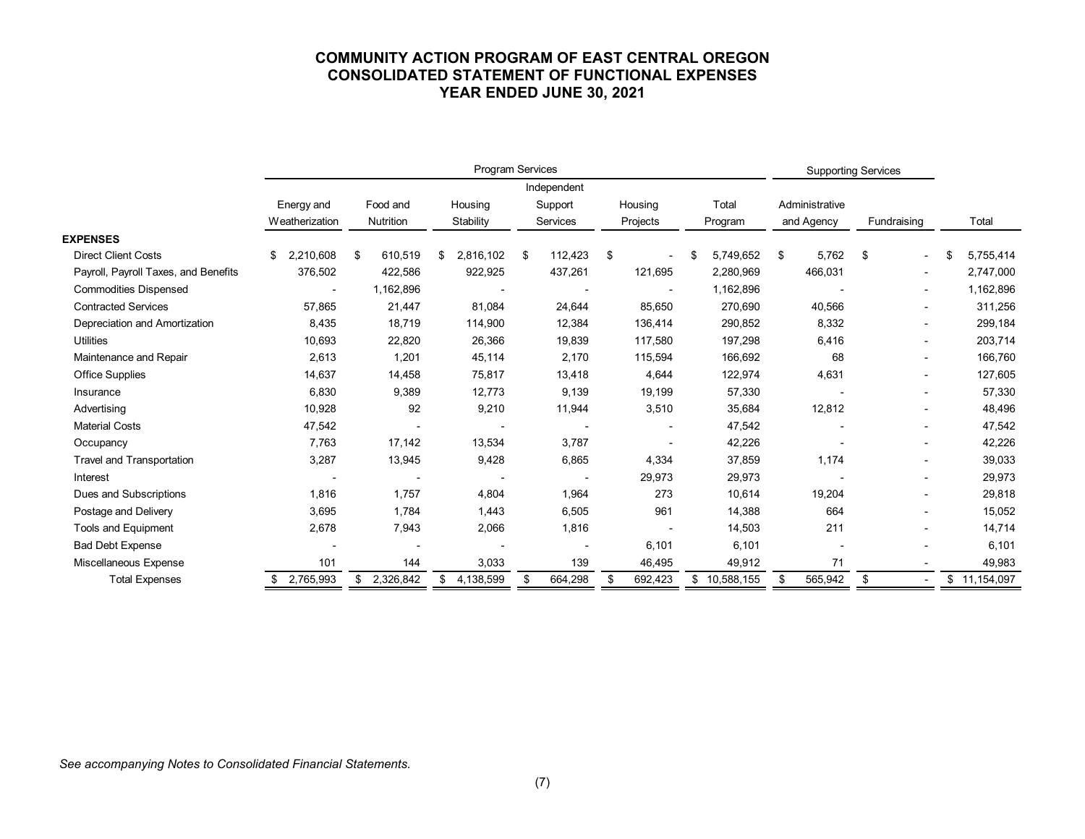### **COMMUNITY ACTION PROGRAM OF EAST CENTRAL OREGON CONSOLIDATED STATEMENT OF FUNCTIONAL EXPENSES YEAR ENDED JUNE 30, 2021**

|                                      | Program Services             |                              |                      | <b>Supporting Services</b>         |                     |                  |                              |                          |                 |
|--------------------------------------|------------------------------|------------------------------|----------------------|------------------------------------|---------------------|------------------|------------------------------|--------------------------|-----------------|
|                                      | Energy and<br>Weatherization | Food and<br><b>Nutrition</b> | Housing<br>Stability | Independent<br>Support<br>Services | Housing<br>Projects | Total<br>Program | Administrative<br>and Agency | Fundraising              | Total           |
| <b>EXPENSES</b>                      |                              |                              |                      |                                    |                     |                  |                              |                          |                 |
| <b>Direct Client Costs</b>           | 2,210,608<br>\$              | 610,519<br>\$                | \$<br>2,816,102      | 112,423<br>\$                      | \$                  | 5,749,652        | 5,762<br>\$                  | \$<br>$\blacksquare$     | 5,755,414<br>ß. |
| Payroll, Payroll Taxes, and Benefits | 376,502                      | 422,586                      | 922,925              | 437,261                            | 121,695             | 2,280,969        | 466,031                      | $\blacksquare$           | 2,747,000       |
| <b>Commodities Dispensed</b>         |                              | 1,162,896                    |                      |                                    |                     | 1,162,896        |                              | $\blacksquare$           | 1,162,896       |
| <b>Contracted Services</b>           | 57,865                       | 21,447                       | 81,084               | 24,644                             | 85,650              | 270,690          | 40,566                       | $\blacksquare$           | 311,256         |
| Depreciation and Amortization        | 8,435                        | 18,719                       | 114,900              | 12,384                             | 136,414             | 290,852          | 8,332                        | $\blacksquare$           | 299,184         |
| <b>Utilities</b>                     | 10,693                       | 22,820                       | 26,366               | 19,839                             | 117,580             | 197,298          | 6,416                        | $\blacksquare$           | 203,714         |
| Maintenance and Repair               | 2,613                        | 1,201                        | 45,114               | 2,170                              | 115,594             | 166,692          | 68                           |                          | 166,760         |
| Office Supplies                      | 14,637                       | 14,458                       | 75,817               | 13,418                             | 4,644               | 122,974          | 4,631                        | $\overline{\phantom{a}}$ | 127,605         |
| Insurance                            | 6,830                        | 9,389                        | 12,773               | 9,139                              | 19,199              | 57,330           |                              |                          | 57,330          |
| Advertising                          | 10,928                       | 92                           | 9,210                | 11,944                             | 3,510               | 35,684           | 12,812                       |                          | 48,496          |
| <b>Material Costs</b>                | 47,542                       |                              |                      |                                    |                     | 47,542           |                              |                          | 47,542          |
| Occupancy                            | 7,763                        | 17,142                       | 13,534               | 3,787                              |                     | 42,226           |                              |                          | 42,226          |
| <b>Travel and Transportation</b>     | 3,287                        | 13,945                       | 9,428                | 6,865                              | 4,334               | 37,859           | 1,174                        |                          | 39,033          |
| Interest                             |                              |                              |                      |                                    | 29,973              | 29,973           |                              |                          | 29,973          |
| Dues and Subscriptions               | 1,816                        | 1,757                        | 4,804                | 1,964                              | 273                 | 10,614           | 19,204                       |                          | 29,818          |
| Postage and Delivery                 | 3,695                        | 1,784                        | 1,443                | 6,505                              | 961                 | 14,388           | 664                          |                          | 15,052          |
| <b>Tools and Equipment</b>           | 2,678                        | 7,943                        | 2,066                | 1,816                              |                     | 14,503           | 211                          |                          | 14,714          |
| <b>Bad Debt Expense</b>              |                              |                              |                      |                                    | 6,101               | 6,101            |                              |                          | 6,101           |
| Miscellaneous Expense                | 101                          | 144                          | 3,033                | 139                                | 46,495              | 49,912           | 71                           |                          | 49,983          |
| <b>Total Expenses</b>                | 2,765,993                    | 2,326,842<br>$\mathfrak{S}$  | 4,138,599<br>\$      | 664,298<br>\$                      | 692,423             | \$10,588,155     | 565,942<br>\$                | \$                       | \$11,154,097    |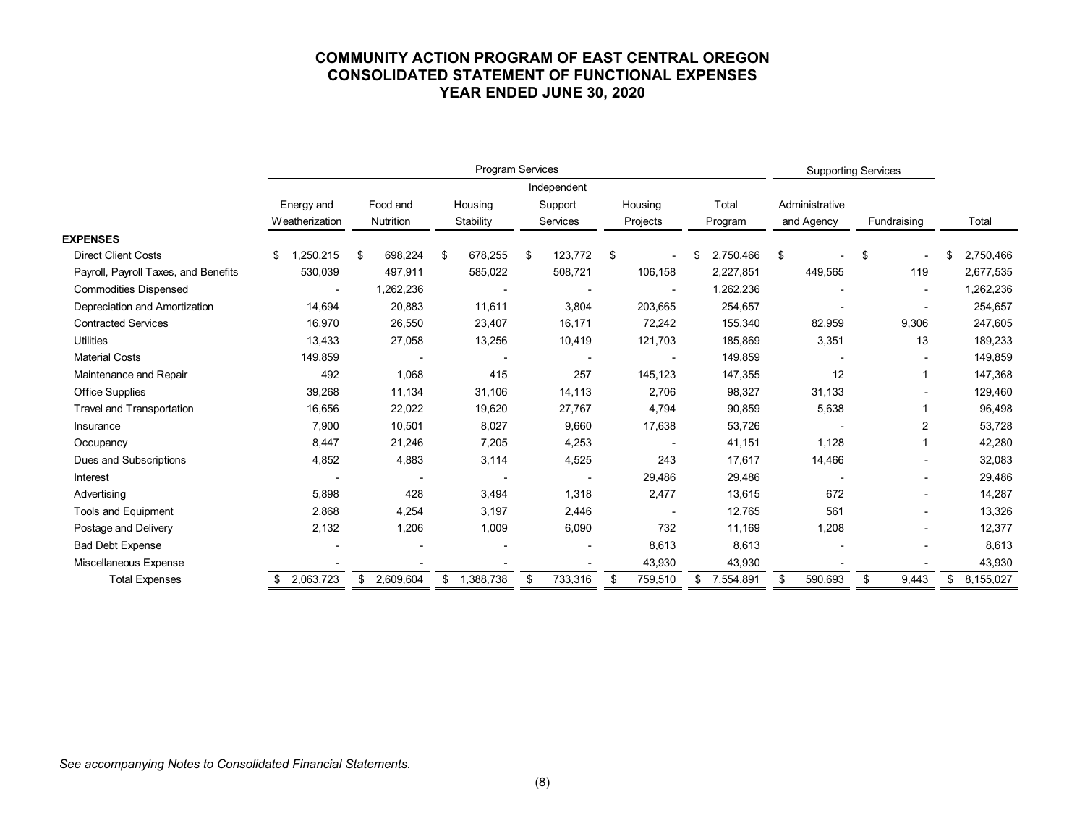### **COMMUNITY ACTION PROGRAM OF EAST CENTRAL OREGON CONSOLIDATED STATEMENT OF FUNCTIONAL EXPENSES YEAR ENDED JUNE 30, 2020**

|                                      | Program Services |                 |                 |               | <b>Supporting Services</b> |                 |                |                |                 |
|--------------------------------------|------------------|-----------------|-----------------|---------------|----------------------------|-----------------|----------------|----------------|-----------------|
|                                      |                  |                 |                 | Independent   |                            |                 |                |                |                 |
|                                      | Energy and       | Food and        | Housing         | Support       | Housing                    | Total           | Administrative |                |                 |
|                                      | Weatherization   | Nutrition       | Stability       | Services      | Projects                   | Program         | and Agency     | Fundraising    | Total           |
| <b>EXPENSES</b>                      |                  |                 |                 |               |                            |                 |                |                |                 |
| <b>Direct Client Costs</b>           | ,250,215<br>\$   | 698,224<br>\$   | 678,255<br>\$   | 123,772<br>\$ | \$                         | 2,750,466<br>\$ | \$             | \$.            | 2,750,466<br>\$ |
| Payroll, Payroll Taxes, and Benefits | 530,039          | 497,911         | 585,022         | 508,721       | 106,158                    | 2,227,851       | 449,565        | 119            | 2,677,535       |
| <b>Commodities Dispensed</b>         |                  | 1,262,236       |                 |               |                            | 1,262,236       |                | $\overline{a}$ | 1,262,236       |
| Depreciation and Amortization        | 14,694           | 20,883          | 11,611          | 3,804         | 203,665                    | 254,657         |                |                | 254,657         |
| <b>Contracted Services</b>           | 16,970           | 26,550          | 23,407          | 16,171        | 72,242                     | 155,340         | 82,959         | 9,306          | 247,605         |
| <b>Utilities</b>                     | 13,433           | 27,058          | 13,256          | 10,419        | 121,703                    | 185,869         | 3,351          | 13             | 189,233         |
| <b>Material Costs</b>                | 149,859          |                 |                 |               |                            | 149,859         |                |                | 149,859         |
| Maintenance and Repair               | 492              | 1,068           | 415             | 257           | 145,123                    | 147,355         | 12             | 1              | 147,368         |
| <b>Office Supplies</b>               | 39,268           | 11,134          | 31,106          | 14,113        | 2,706                      | 98,327          | 31,133         |                | 129,460         |
| <b>Travel and Transportation</b>     | 16,656           | 22,022          | 19,620          | 27,767        | 4,794                      | 90,859          | 5,638          |                | 96,498          |
| Insurance                            | 7,900            | 10,501          | 8,027           | 9,660         | 17,638                     | 53,726          |                | $\overline{2}$ | 53,728          |
| Occupancy                            | 8,447            | 21,246          | 7,205           | 4,253         |                            | 41,151          | 1,128          | 1              | 42,280          |
| Dues and Subscriptions               | 4,852            | 4,883           | 3,114           | 4,525         | 243                        | 17,617          | 14,466         |                | 32,083          |
| Interest                             |                  |                 |                 |               | 29,486                     | 29,486          |                | $\blacksquare$ | 29,486          |
| Advertising                          | 5,898            | 428             | 3,494           | 1,318         | 2,477                      | 13,615          | 672            |                | 14,287          |
| Tools and Equipment                  | 2,868            | 4,254           | 3,197           | 2,446         |                            | 12,765          | 561            |                | 13,326          |
| Postage and Delivery                 | 2,132            | 1,206           | 1,009           | 6,090         | 732                        | 11,169          | 1,208          |                | 12,377          |
| <b>Bad Debt Expense</b>              |                  |                 |                 |               | 8,613                      | 8,613           |                |                | 8,613           |
| Miscellaneous Expense                |                  |                 |                 |               | 43,930                     | 43,930          |                |                | 43,930          |
| <b>Total Expenses</b>                | 2,063,723        | \$<br>2,609,604 | 1,388,738<br>\$ | 733,316<br>\$ | 759,510<br>\$              | 7,554,891<br>S  | 590,693<br>S   | \$<br>9,443    | \$<br>8,155,027 |

*See accompanying Notes to Consolidated Financial Statements.*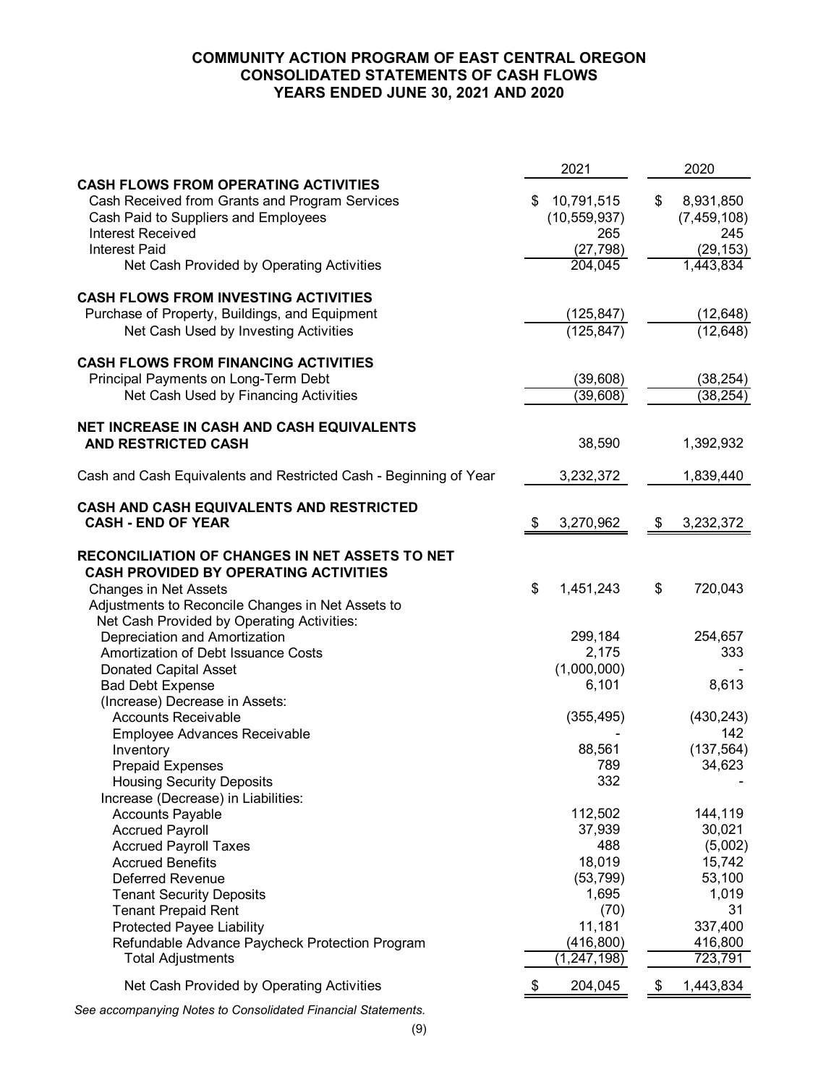# **COMMUNITY ACTION PROGRAM OF EAST CENTRAL OREGON CONSOLIDATED STATEMENTS OF CASH FLOWS YEARS ENDED JUNE 30, 2021 AND 2020**

|                                                                   | 2021            | 2020            |
|-------------------------------------------------------------------|-----------------|-----------------|
| <b>CASH FLOWS FROM OPERATING ACTIVITIES</b>                       |                 |                 |
| Cash Received from Grants and Program Services                    | 10,791,515<br>S | \$<br>8,931,850 |
| Cash Paid to Suppliers and Employees                              | (10, 559, 937)  | (7, 459, 108)   |
| <b>Interest Received</b>                                          | 265             | 245             |
| <b>Interest Paid</b>                                              | (27, 798)       | (29, 153)       |
| Net Cash Provided by Operating Activities                         | 204,045         | 1,443,834       |
|                                                                   |                 |                 |
| <b>CASH FLOWS FROM INVESTING ACTIVITIES</b>                       |                 |                 |
| Purchase of Property, Buildings, and Equipment                    | (125, 847)      | (12,648)        |
| Net Cash Used by Investing Activities                             | (125, 847)      | (12, 648)       |
| <b>CASH FLOWS FROM FINANCING ACTIVITIES</b>                       |                 |                 |
| Principal Payments on Long-Term Debt                              | (39,608)        | (38, 254)       |
| Net Cash Used by Financing Activities                             |                 |                 |
|                                                                   | (39, 608)       | (38,254)        |
| NET INCREASE IN CASH AND CASH EQUIVALENTS                         |                 |                 |
| <b>AND RESTRICTED CASH</b>                                        | 38,590          | 1,392,932       |
| Cash and Cash Equivalents and Restricted Cash - Beginning of Year | 3,232,372       | 1,839,440       |
|                                                                   |                 |                 |
| CASH AND CASH EQUIVALENTS AND RESTRICTED                          |                 |                 |
| <b>CASH - END OF YEAR</b>                                         | 3,270,962<br>\$ | \$<br>3,232,372 |
| RECONCILIATION OF CHANGES IN NET ASSETS TO NET                    |                 |                 |
| <b>CASH PROVIDED BY OPERATING ACTIVITIES</b>                      |                 |                 |
|                                                                   |                 |                 |
| <b>Changes in Net Assets</b>                                      | \$<br>1,451,243 | \$<br>720,043   |
| Adjustments to Reconcile Changes in Net Assets to                 |                 |                 |
| Net Cash Provided by Operating Activities:                        |                 |                 |
| Depreciation and Amortization                                     | 299,184         | 254,657         |
| Amortization of Debt Issuance Costs                               | 2,175           | 333             |
| <b>Donated Capital Asset</b>                                      | (1,000,000)     |                 |
| <b>Bad Debt Expense</b>                                           | 6,101           | 8,613           |
| (Increase) Decrease in Assets:                                    |                 |                 |
| <b>Accounts Receivable</b>                                        | (355, 495)      | (430, 243)      |
| Employee Advances Receivable                                      |                 | 142             |
| Inventory                                                         | 88,561          | (137, 564)      |
| <b>Prepaid Expenses</b>                                           | 789             | 34,623          |
| <b>Housing Security Deposits</b>                                  | 332             |                 |
| Increase (Decrease) in Liabilities:                               |                 |                 |
| <b>Accounts Payable</b>                                           | 112,502         | 144,119         |
| <b>Accrued Payroll</b>                                            | 37,939          | 30,021          |
| <b>Accrued Payroll Taxes</b>                                      | 488             | (5,002)         |
| <b>Accrued Benefits</b>                                           | 18,019          |                 |
|                                                                   |                 | 15,742          |
| <b>Deferred Revenue</b>                                           | (53, 799)       | 53,100          |
| <b>Tenant Security Deposits</b>                                   | 1,695           | 1,019           |
| <b>Tenant Prepaid Rent</b>                                        | (70)            | 31              |
| <b>Protected Payee Liability</b>                                  | 11,181          | 337,400         |
| Refundable Advance Paycheck Protection Program                    | (416, 800)      | 416,800         |
| <b>Total Adjustments</b>                                          | (1, 247, 198)   | 723,791         |
| Net Cash Provided by Operating Activities                         | \$<br>204,045   | \$<br>1,443,834 |

*See accompanying Notes to Consolidated Financial Statements.*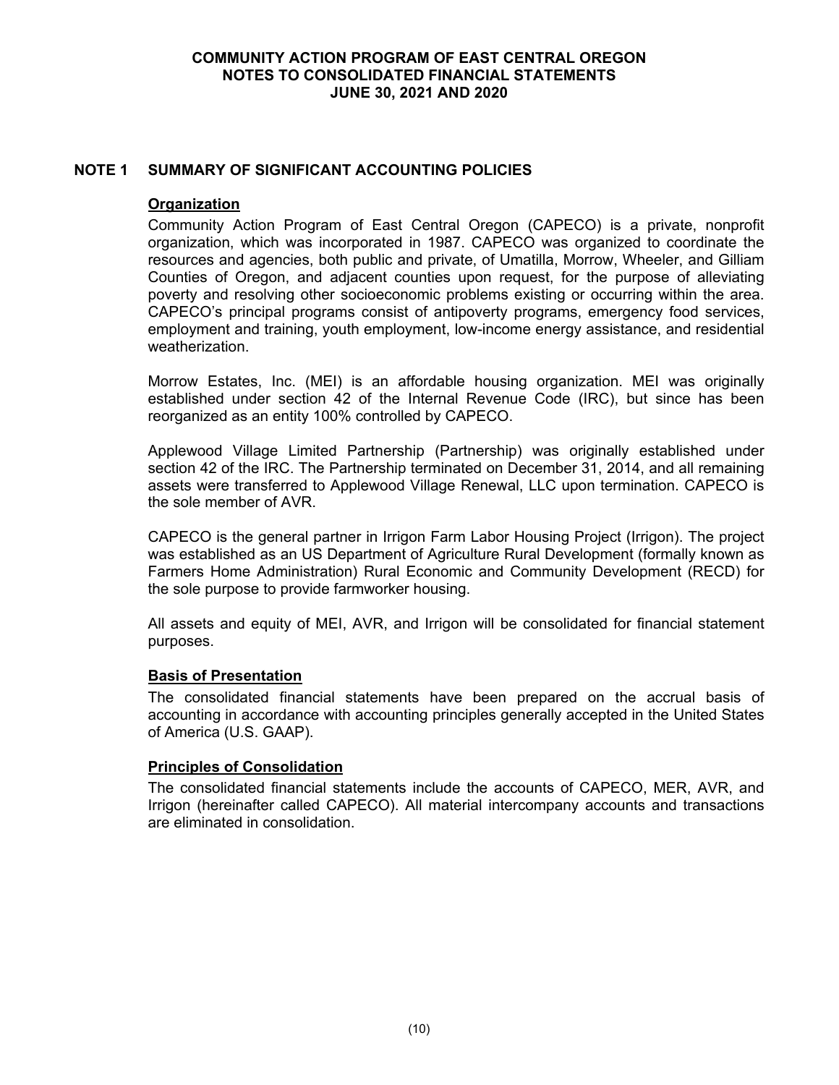## **NOTE 1 SUMMARY OF SIGNIFICANT ACCOUNTING POLICIES**

#### **Organization**

Community Action Program of East Central Oregon (CAPECO) is a private, nonprofit organization, which was incorporated in 1987. CAPECO was organized to coordinate the resources and agencies, both public and private, of Umatilla, Morrow, Wheeler, and Gilliam Counties of Oregon, and adjacent counties upon request, for the purpose of alleviating poverty and resolving other socioeconomic problems existing or occurring within the area. CAPECO's principal programs consist of antipoverty programs, emergency food services, employment and training, youth employment, low-income energy assistance, and residential weatherization.

Morrow Estates, Inc. (MEI) is an affordable housing organization. MEI was originally established under section 42 of the Internal Revenue Code (IRC), but since has been reorganized as an entity 100% controlled by CAPECO.

Applewood Village Limited Partnership (Partnership) was originally established under section 42 of the IRC. The Partnership terminated on December 31, 2014, and all remaining assets were transferred to Applewood Village Renewal, LLC upon termination. CAPECO is the sole member of AVR.

CAPECO is the general partner in Irrigon Farm Labor Housing Project (Irrigon). The project was established as an US Department of Agriculture Rural Development (formally known as Farmers Home Administration) Rural Economic and Community Development (RECD) for the sole purpose to provide farmworker housing.

All assets and equity of MEI, AVR, and Irrigon will be consolidated for financial statement purposes.

#### **Basis of Presentation**

The consolidated financial statements have been prepared on the accrual basis of accounting in accordance with accounting principles generally accepted in the United States of America (U.S. GAAP).

#### **Principles of Consolidation**

The consolidated financial statements include the accounts of CAPECO, MER, AVR, and Irrigon (hereinafter called CAPECO). All material intercompany accounts and transactions are eliminated in consolidation.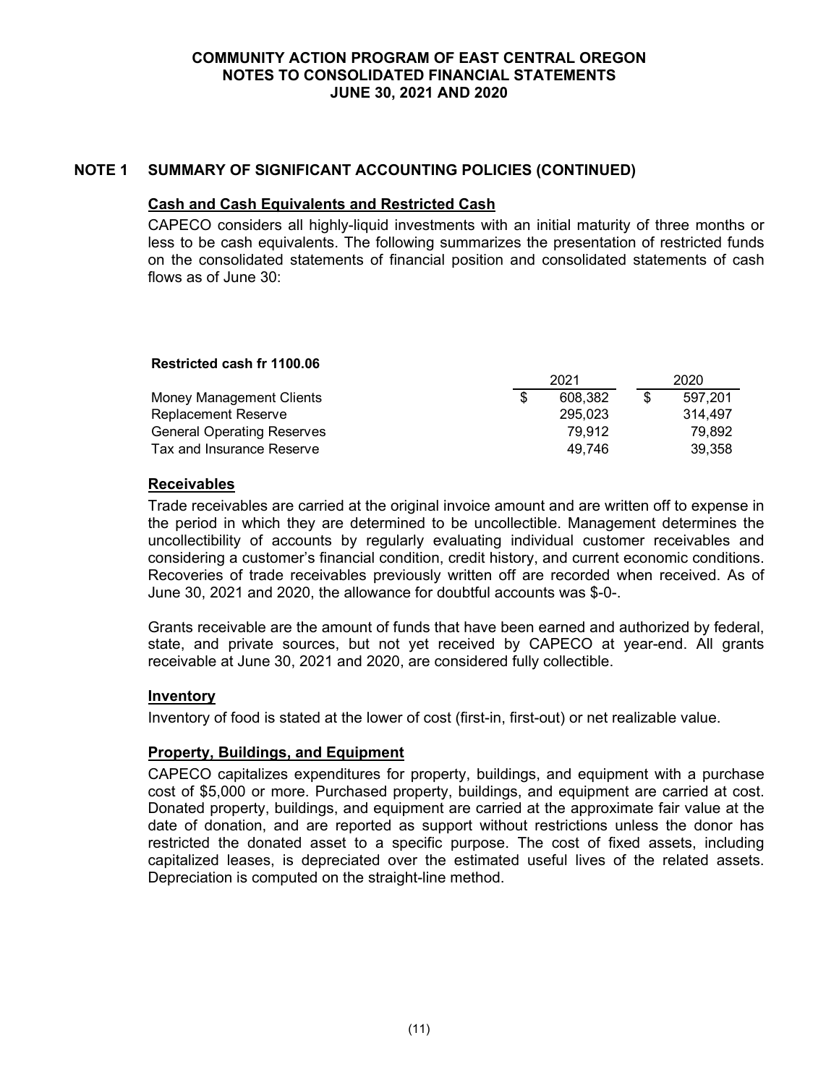## **NOTE 1 SUMMARY OF SIGNIFICANT ACCOUNTING POLICIES (CONTINUED)**

#### **Cash and Cash Equivalents and Restricted Cash**

CAPECO considers all highly-liquid investments with an initial maturity of three months or less to be cash equivalents. The following summarizes the presentation of restricted funds on the consolidated statements of financial position and consolidated statements of cash flows as of June 30:

#### **Restricted cash fr 1100.06**

|                                   | 2021 |         |  | 2020    |
|-----------------------------------|------|---------|--|---------|
| Money Management Clients          |      | 608.382 |  | 597.201 |
| Replacement Reserve               |      | 295.023 |  | 314.497 |
| <b>General Operating Reserves</b> |      | 79.912  |  | 79.892  |
| Tax and Insurance Reserve         |      | 49.746  |  | 39.358  |

#### **Receivables**

Trade receivables are carried at the original invoice amount and are written off to expense in the period in which they are determined to be uncollectible. Management determines the uncollectibility of accounts by regularly evaluating individual customer receivables and considering a customer's financial condition, credit history, and current economic conditions. Recoveries of trade receivables previously written off are recorded when received. As of June 30, 2021 and 2020, the allowance for doubtful accounts was \$-0-.

Grants receivable are the amount of funds that have been earned and authorized by federal, state, and private sources, but not yet received by CAPECO at year-end. All grants receivable at June 30, 2021 and 2020, are considered fully collectible.

#### **Inventory**

Inventory of food is stated at the lower of cost (first-in, first-out) or net realizable value.

#### **Property, Buildings, and Equipment**

CAPECO capitalizes expenditures for property, buildings, and equipment with a purchase cost of \$5,000 or more. Purchased property, buildings, and equipment are carried at cost. Donated property, buildings, and equipment are carried at the approximate fair value at the date of donation, and are reported as support without restrictions unless the donor has restricted the donated asset to a specific purpose. The cost of fixed assets, including capitalized leases, is depreciated over the estimated useful lives of the related assets. Depreciation is computed on the straight-line method.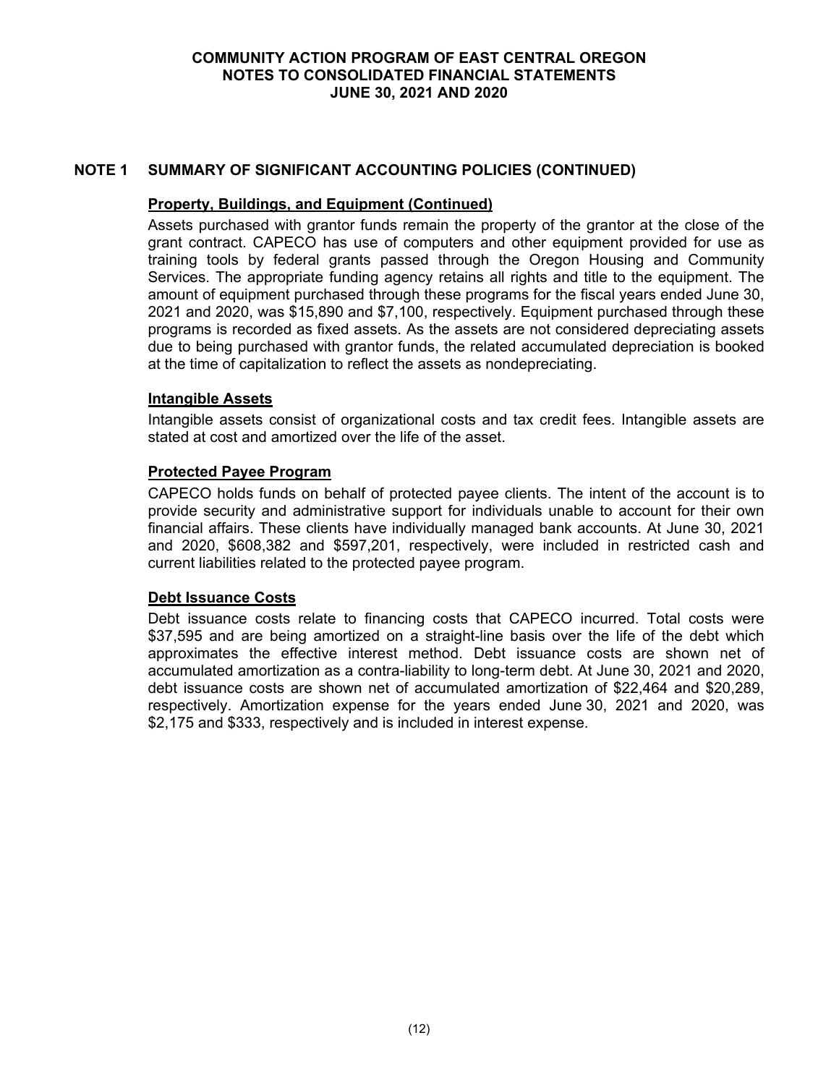## **NOTE 1 SUMMARY OF SIGNIFICANT ACCOUNTING POLICIES (CONTINUED)**

#### **Property, Buildings, and Equipment (Continued)**

Assets purchased with grantor funds remain the property of the grantor at the close of the grant contract. CAPECO has use of computers and other equipment provided for use as training tools by federal grants passed through the Oregon Housing and Community Services. The appropriate funding agency retains all rights and title to the equipment. The amount of equipment purchased through these programs for the fiscal years ended June 30, 2021 and 2020, was \$15,890 and \$7,100, respectively. Equipment purchased through these programs is recorded as fixed assets. As the assets are not considered depreciating assets due to being purchased with grantor funds, the related accumulated depreciation is booked at the time of capitalization to reflect the assets as nondepreciating.

#### **Intangible Assets**

Intangible assets consist of organizational costs and tax credit fees. Intangible assets are stated at cost and amortized over the life of the asset.

#### **Protected Payee Program**

CAPECO holds funds on behalf of protected payee clients. The intent of the account is to provide security and administrative support for individuals unable to account for their own financial affairs. These clients have individually managed bank accounts. At June 30, 2021 and 2020, \$608,382 and \$597,201, respectively, were included in restricted cash and current liabilities related to the protected payee program.

#### **Debt Issuance Costs**

Debt issuance costs relate to financing costs that CAPECO incurred. Total costs were \$37,595 and are being amortized on a straight-line basis over the life of the debt which approximates the effective interest method. Debt issuance costs are shown net of accumulated amortization as a contra-liability to long-term debt. At June 30, 2021 and 2020, debt issuance costs are shown net of accumulated amortization of \$22,464 and \$20,289, respectively. Amortization expense for the years ended June 30, 2021 and 2020, was \$2,175 and \$333, respectively and is included in interest expense.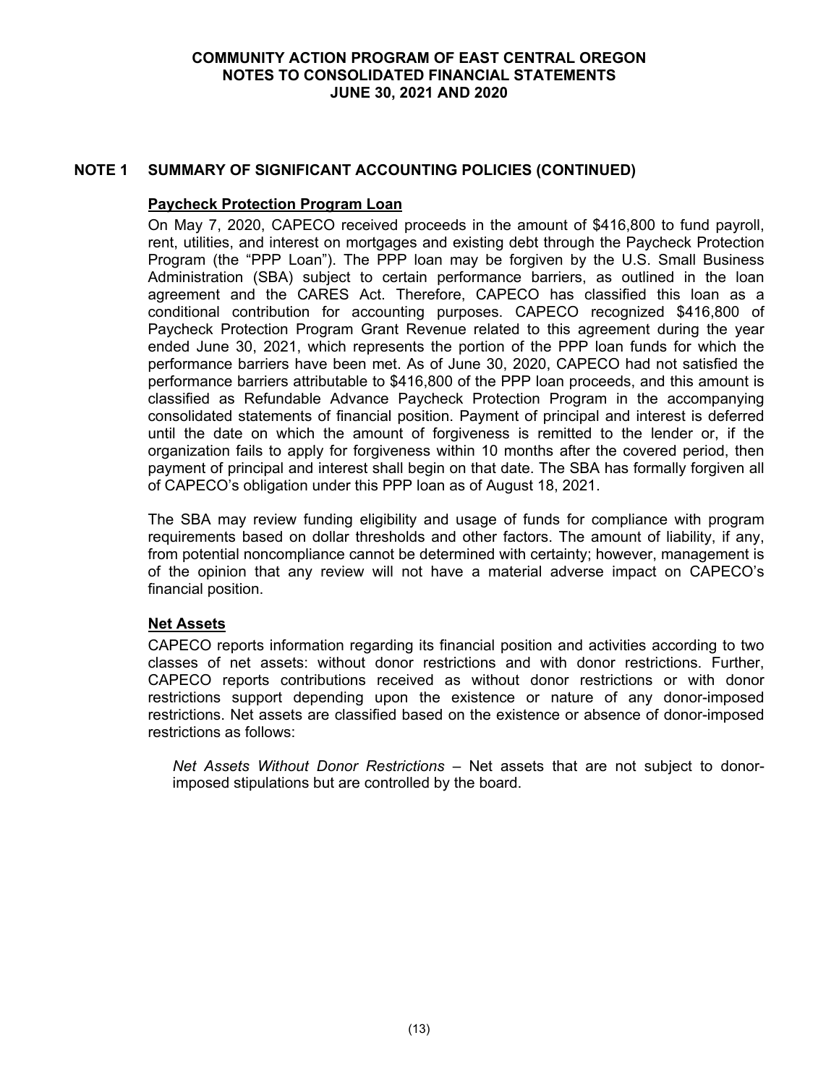### **NOTE 1 SUMMARY OF SIGNIFICANT ACCOUNTING POLICIES (CONTINUED)**

### **Paycheck Protection Program Loan**

On May 7, 2020, CAPECO received proceeds in the amount of \$416,800 to fund payroll, rent, utilities, and interest on mortgages and existing debt through the Paycheck Protection Program (the "PPP Loan"). The PPP loan may be forgiven by the U.S. Small Business Administration (SBA) subject to certain performance barriers, as outlined in the loan agreement and the CARES Act. Therefore, CAPECO has classified this loan as a conditional contribution for accounting purposes. CAPECO recognized \$416,800 of Paycheck Protection Program Grant Revenue related to this agreement during the year ended June 30, 2021, which represents the portion of the PPP loan funds for which the performance barriers have been met. As of June 30, 2020, CAPECO had not satisfied the performance barriers attributable to \$416,800 of the PPP loan proceeds, and this amount is classified as Refundable Advance Paycheck Protection Program in the accompanying consolidated statements of financial position. Payment of principal and interest is deferred until the date on which the amount of forgiveness is remitted to the lender or, if the organization fails to apply for forgiveness within 10 months after the covered period, then payment of principal and interest shall begin on that date. The SBA has formally forgiven all of CAPECO's obligation under this PPP loan as of August 18, 2021.

The SBA may review funding eligibility and usage of funds for compliance with program requirements based on dollar thresholds and other factors. The amount of liability, if any, from potential noncompliance cannot be determined with certainty; however, management is of the opinion that any review will not have a material adverse impact on CAPECO's financial position.

#### **Net Assets**

CAPECO reports information regarding its financial position and activities according to two classes of net assets: without donor restrictions and with donor restrictions. Further, CAPECO reports contributions received as without donor restrictions or with donor restrictions support depending upon the existence or nature of any donor-imposed restrictions. Net assets are classified based on the existence or absence of donor-imposed restrictions as follows:

*Net Assets Without Donor Restrictions* – Net assets that are not subject to donorimposed stipulations but are controlled by the board.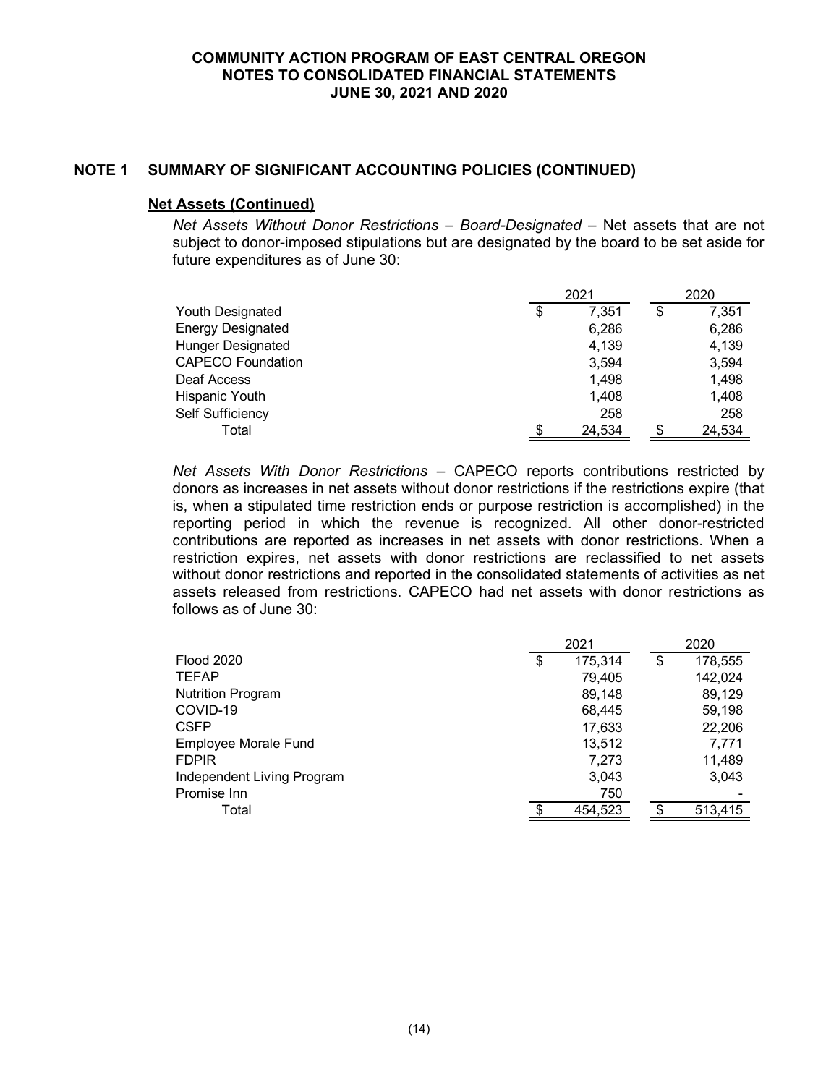## **NOTE 1 SUMMARY OF SIGNIFICANT ACCOUNTING POLICIES (CONTINUED)**

#### **Net Assets (Continued)**

*Net Assets Without Donor Restrictions – Board-Designated* – Net assets that are not subject to donor-imposed stipulations but are designated by the board to be set aside for future expenditures as of June 30:

|                          | 2021        |    |        |
|--------------------------|-------------|----|--------|
| Youth Designated         | \$<br>7.351 | \$ | 7,351  |
| <b>Energy Designated</b> | 6,286       |    | 6,286  |
| Hunger Designated        | 4,139       |    | 4,139  |
| <b>CAPECO Foundation</b> | 3,594       |    | 3,594  |
| Deaf Access              | 1,498       |    | 1,498  |
| <b>Hispanic Youth</b>    | 1,408       |    | 1,408  |
| Self Sufficiency         | 258         |    | 258    |
| Total                    | 24,534      |    | 24,534 |

*Net Assets With Donor Restrictions* – CAPECO reports contributions restricted by donors as increases in net assets without donor restrictions if the restrictions expire (that is, when a stipulated time restriction ends or purpose restriction is accomplished) in the reporting period in which the revenue is recognized. All other donor-restricted contributions are reported as increases in net assets with donor restrictions. When a restriction expires, net assets with donor restrictions are reclassified to net assets without donor restrictions and reported in the consolidated statements of activities as net assets released from restrictions. CAPECO had net assets with donor restrictions as follows as of June 30:

| 2020          |
|---------------|
| \$<br>178,555 |
| 142,024       |
| 89,129        |
| 59,198        |
| 22,206        |
| 7,771         |
| 11,489        |
| 3,043         |
|               |
| 513,415       |
|               |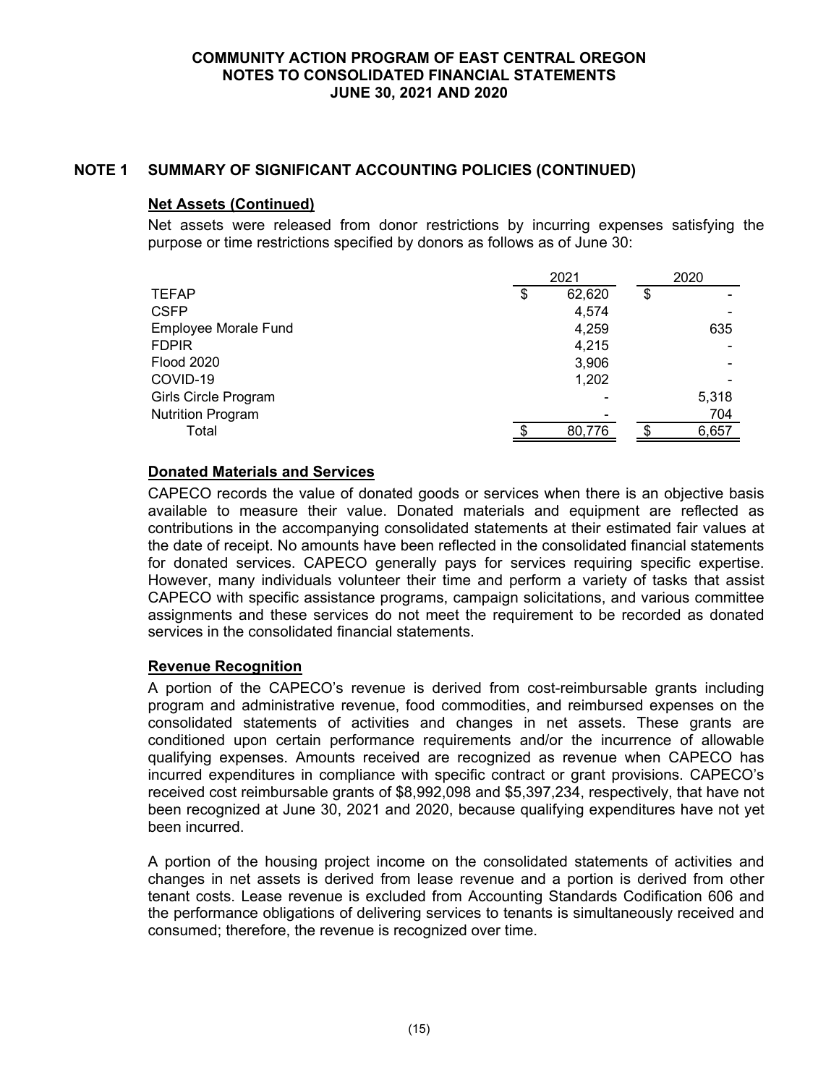## **NOTE 1 SUMMARY OF SIGNIFICANT ACCOUNTING POLICIES (CONTINUED)**

#### **Net Assets (Continued)**

Net assets were released from donor restrictions by incurring expenses satisfying the purpose or time restrictions specified by donors as follows as of June 30:

| 2021         | 2020  |
|--------------|-------|
| \$<br>62,620 | \$    |
| 4,574        |       |
| 4,259        | 635   |
| 4,215        |       |
| 3,906        |       |
| 1,202        |       |
|              | 5,318 |
|              | 704   |
| 80,776       | 6,657 |
|              |       |

#### **Donated Materials and Services**

CAPECO records the value of donated goods or services when there is an objective basis available to measure their value. Donated materials and equipment are reflected as contributions in the accompanying consolidated statements at their estimated fair values at the date of receipt. No amounts have been reflected in the consolidated financial statements for donated services. CAPECO generally pays for services requiring specific expertise. However, many individuals volunteer their time and perform a variety of tasks that assist CAPECO with specific assistance programs, campaign solicitations, and various committee assignments and these services do not meet the requirement to be recorded as donated services in the consolidated financial statements.

#### **Revenue Recognition**

A portion of the CAPECO's revenue is derived from cost-reimbursable grants including program and administrative revenue, food commodities, and reimbursed expenses on the consolidated statements of activities and changes in net assets. These grants are conditioned upon certain performance requirements and/or the incurrence of allowable qualifying expenses. Amounts received are recognized as revenue when CAPECO has incurred expenditures in compliance with specific contract or grant provisions. CAPECO's received cost reimbursable grants of \$8,992,098 and \$5,397,234, respectively, that have not been recognized at June 30, 2021 and 2020, because qualifying expenditures have not yet been incurred.

A portion of the housing project income on the consolidated statements of activities and changes in net assets is derived from lease revenue and a portion is derived from other tenant costs. Lease revenue is excluded from Accounting Standards Codification 606 and the performance obligations of delivering services to tenants is simultaneously received and consumed; therefore, the revenue is recognized over time.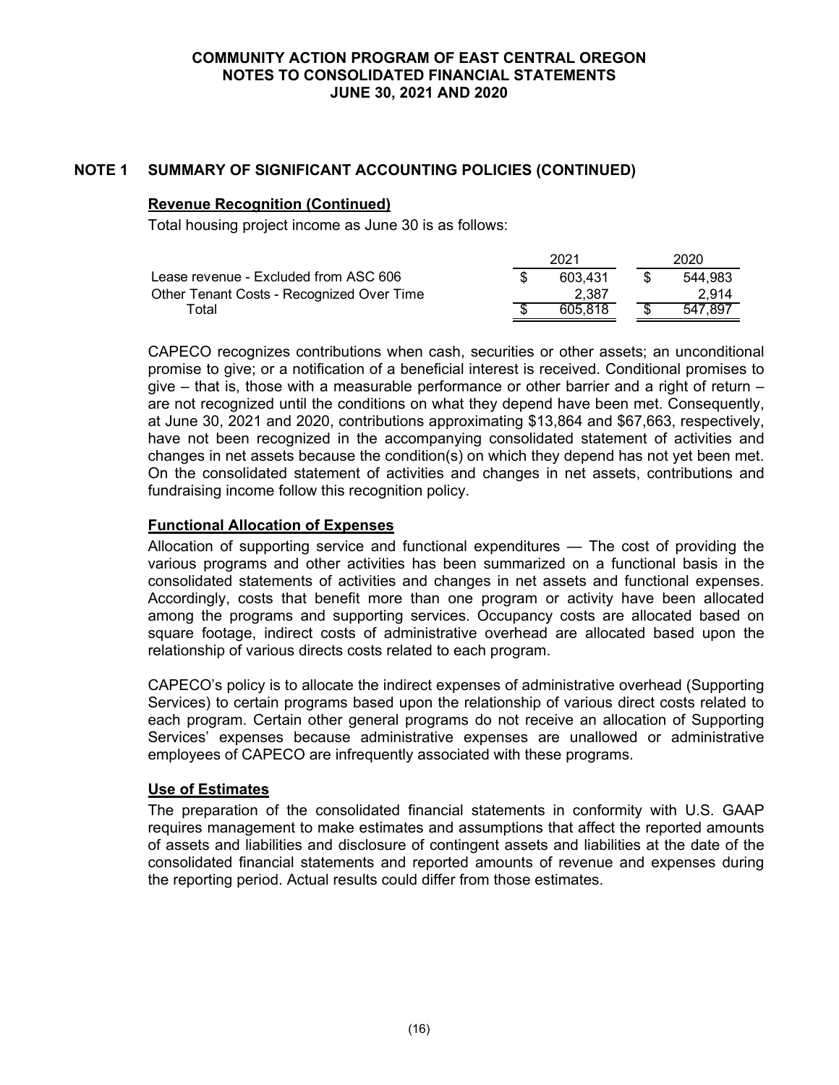## **NOTE 1 SUMMARY OF SIGNIFICANT ACCOUNTING POLICIES (CONTINUED)**

#### **Revenue Recognition (Continued)**

Total housing project income as June 30 is as follows:

|                                           | 2021    |  | 2020    |
|-------------------------------------------|---------|--|---------|
| Lease revenue - Excluded from ASC 606     | 603.431 |  | 544,983 |
| Other Tenant Costs - Recognized Over Time | 2.387   |  | 2.914   |
| Total                                     | 605.818 |  | 547.897 |

CAPECO recognizes contributions when cash, securities or other assets; an unconditional promise to give; or a notification of a beneficial interest is received. Conditional promises to give – that is, those with a measurable performance or other barrier and a right of return – are not recognized until the conditions on what they depend have been met. Consequently, at June 30, 2021 and 2020, contributions approximating \$13,864 and \$67,663, respectively, have not been recognized in the accompanying consolidated statement of activities and changes in net assets because the condition(s) on which they depend has not yet been met. On the consolidated statement of activities and changes in net assets, contributions and fundraising income follow this recognition policy.

## **Functional Allocation of Expenses**

Allocation of supporting service and functional expenditures — The cost of providing the various programs and other activities has been summarized on a functional basis in the consolidated statements of activities and changes in net assets and functional expenses. Accordingly, costs that benefit more than one program or activity have been allocated among the programs and supporting services. Occupancy costs are allocated based on square footage, indirect costs of administrative overhead are allocated based upon the relationship of various directs costs related to each program.

CAPECO's policy is to allocate the indirect expenses of administrative overhead (Supporting Services) to certain programs based upon the relationship of various direct costs related to each program. Certain other general programs do not receive an allocation of Supporting Services' expenses because administrative expenses are unallowed or administrative employees of CAPECO are infrequently associated with these programs.

#### **Use of Estimates**

The preparation of the consolidated financial statements in conformity with U.S. GAAP requires management to make estimates and assumptions that affect the reported amounts of assets and liabilities and disclosure of contingent assets and liabilities at the date of the consolidated financial statements and reported amounts of revenue and expenses during the reporting period. Actual results could differ from those estimates.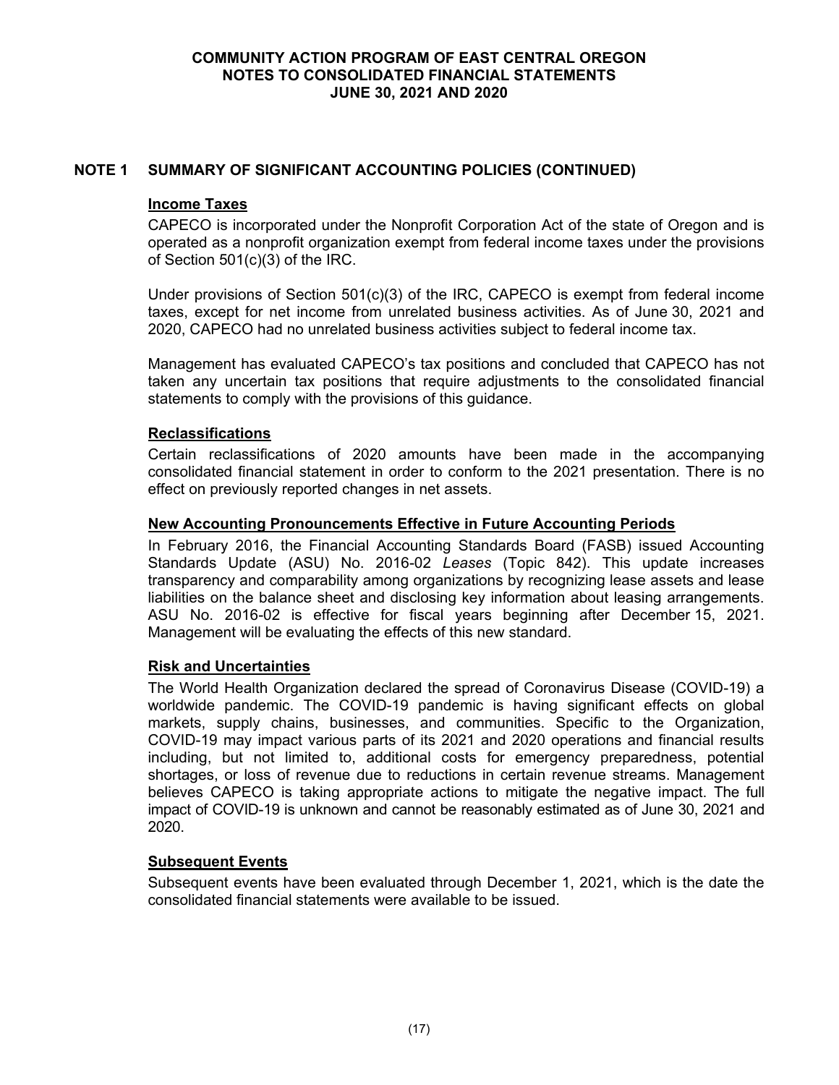## **NOTE 1 SUMMARY OF SIGNIFICANT ACCOUNTING POLICIES (CONTINUED)**

### **Income Taxes**

CAPECO is incorporated under the Nonprofit Corporation Act of the state of Oregon and is operated as a nonprofit organization exempt from federal income taxes under the provisions of Section 501(c)(3) of the IRC.

Under provisions of Section 501(c)(3) of the IRC, CAPECO is exempt from federal income taxes, except for net income from unrelated business activities. As of June 30, 2021 and 2020, CAPECO had no unrelated business activities subject to federal income tax.

Management has evaluated CAPECO's tax positions and concluded that CAPECO has not taken any uncertain tax positions that require adjustments to the consolidated financial statements to comply with the provisions of this guidance.

#### **Reclassifications**

Certain reclassifications of 2020 amounts have been made in the accompanying consolidated financial statement in order to conform to the 2021 presentation. There is no effect on previously reported changes in net assets.

## **New Accounting Pronouncements Effective in Future Accounting Periods**

In February 2016, the Financial Accounting Standards Board (FASB) issued Accounting Standards Update (ASU) No. 2016-02 *Leases* (Topic 842). This update increases transparency and comparability among organizations by recognizing lease assets and lease liabilities on the balance sheet and disclosing key information about leasing arrangements. ASU No. 2016-02 is effective for fiscal years beginning after December 15, 2021. Management will be evaluating the effects of this new standard.

#### **Risk and Uncertainties**

The World Health Organization declared the spread of Coronavirus Disease (COVID-19) a worldwide pandemic. The COVID-19 pandemic is having significant effects on global markets, supply chains, businesses, and communities. Specific to the Organization, COVID-19 may impact various parts of its 2021 and 2020 operations and financial results including, but not limited to, additional costs for emergency preparedness, potential shortages, or loss of revenue due to reductions in certain revenue streams. Management believes CAPECO is taking appropriate actions to mitigate the negative impact. The full impact of COVID-19 is unknown and cannot be reasonably estimated as of June 30, 2021 and 2020.

## **Subsequent Events**

Subsequent events have been evaluated through December 1, 2021, which is the date the consolidated financial statements were available to be issued.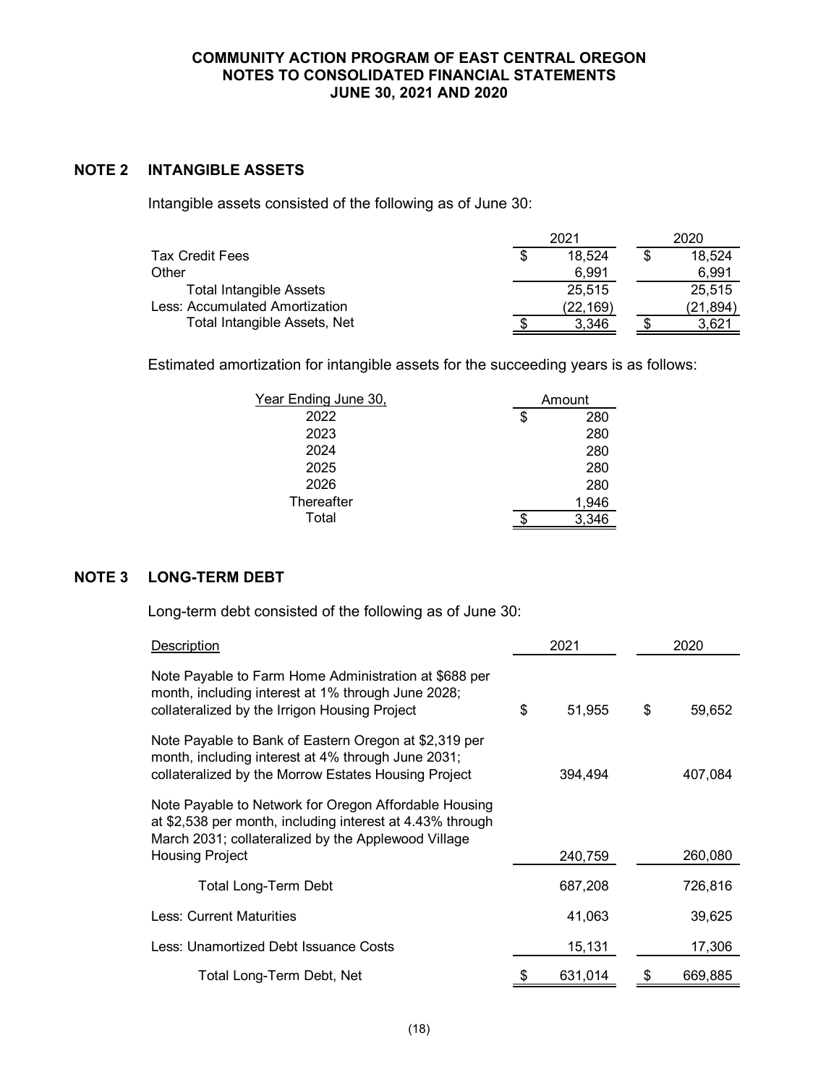# **NOTE 2 INTANGIBLE ASSETS**

Intangible assets consisted of the following as of June 30:

|                                | 2021     | 2020     |
|--------------------------------|----------|----------|
| <b>Tax Credit Fees</b>         | 18.524   | 18,524   |
| Other                          | 6.991    | 6.991    |
| <b>Total Intangible Assets</b> | 25.515   | 25.515   |
| Less: Accumulated Amortization | (22,169) | (21,894) |
| Total Intangible Assets, Net   | 3.346    | 3.621    |

Estimated amortization for intangible assets for the succeeding years is as follows:

| Year Ending June 30, | Amount    |
|----------------------|-----------|
| 2022                 | \$<br>280 |
| 2023                 | 280       |
| 2024                 | 280       |
| 2025                 | 280       |
| 2026                 | 280       |
| <b>Thereafter</b>    | 1,946     |
| Total                | 3.346     |

### **NOTE 3 LONG-TERM DEBT**

Long-term debt consisted of the following as of June 30:

| <u>Description</u>                                                                                                                                                                           | 2021         | 2020         |
|----------------------------------------------------------------------------------------------------------------------------------------------------------------------------------------------|--------------|--------------|
| Note Payable to Farm Home Administration at \$688 per<br>month, including interest at 1% through June 2028;<br>collateralized by the Irrigon Housing Project                                 | \$<br>51,955 | \$<br>59,652 |
| Note Payable to Bank of Eastern Oregon at \$2,319 per<br>month, including interest at 4% through June 2031;<br>collateralized by the Morrow Estates Housing Project                          | 394,494      | 407,084      |
| Note Payable to Network for Oregon Affordable Housing<br>at \$2,538 per month, including interest at 4.43% through<br>March 2031; collateralized by the Applewood Village<br>Housing Project | 240,759      | 260,080      |
| Total Long-Term Debt                                                                                                                                                                         | 687,208      | 726,816      |
|                                                                                                                                                                                              |              |              |
| <b>Less: Current Maturities</b>                                                                                                                                                              | 41,063       | 39,625       |
| Less: Unamortized Debt Issuance Costs                                                                                                                                                        | 15,131       | 17,306       |
| Total Long-Term Debt, Net                                                                                                                                                                    | 631,014      | 669,885      |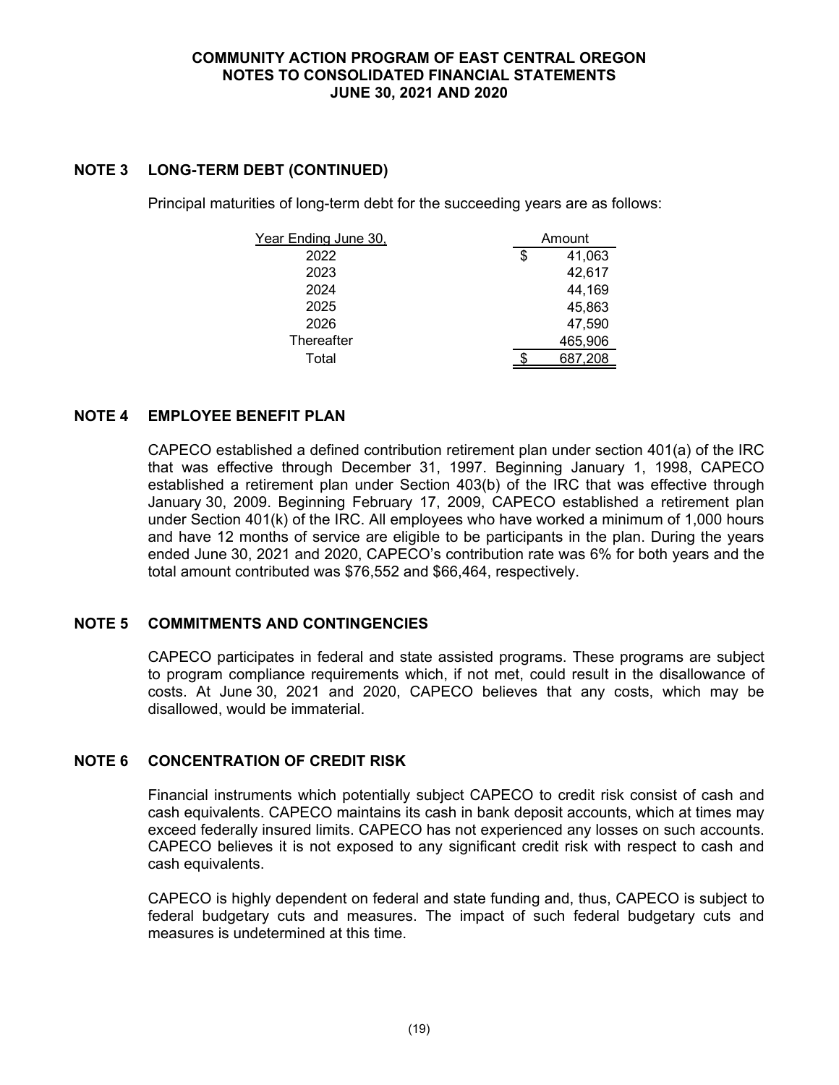## **NOTE 3 LONG-TERM DEBT (CONTINUED)**

Principal maturities of long-term debt for the succeeding years are as follows:

| Year Ending June 30, |   | Amount  |  |  |
|----------------------|---|---------|--|--|
| 2022                 | S | 41,063  |  |  |
| 2023                 |   | 42,617  |  |  |
| 2024                 |   | 44,169  |  |  |
| 2025                 |   | 45,863  |  |  |
| 2026                 |   | 47,590  |  |  |
| <b>Thereafter</b>    |   | 465,906 |  |  |
| Total                |   | 687,208 |  |  |

## **NOTE 4 EMPLOYEE BENEFIT PLAN**

CAPECO established a defined contribution retirement plan under section 401(a) of the IRC that was effective through December 31, 1997. Beginning January 1, 1998, CAPECO established a retirement plan under Section 403(b) of the IRC that was effective through January 30, 2009. Beginning February 17, 2009, CAPECO established a retirement plan under Section 401(k) of the IRC. All employees who have worked a minimum of 1,000 hours and have 12 months of service are eligible to be participants in the plan. During the years ended June 30, 2021 and 2020, CAPECO's contribution rate was 6% for both years and the total amount contributed was \$76,552 and \$66,464, respectively.

## **NOTE 5 COMMITMENTS AND CONTINGENCIES**

CAPECO participates in federal and state assisted programs. These programs are subject to program compliance requirements which, if not met, could result in the disallowance of costs. At June 30, 2021 and 2020, CAPECO believes that any costs, which may be disallowed, would be immaterial.

# **NOTE 6 CONCENTRATION OF CREDIT RISK**

Financial instruments which potentially subject CAPECO to credit risk consist of cash and cash equivalents. CAPECO maintains its cash in bank deposit accounts, which at times may exceed federally insured limits. CAPECO has not experienced any losses on such accounts. CAPECO believes it is not exposed to any significant credit risk with respect to cash and cash equivalents.

CAPECO is highly dependent on federal and state funding and, thus, CAPECO is subject to federal budgetary cuts and measures. The impact of such federal budgetary cuts and measures is undetermined at this time.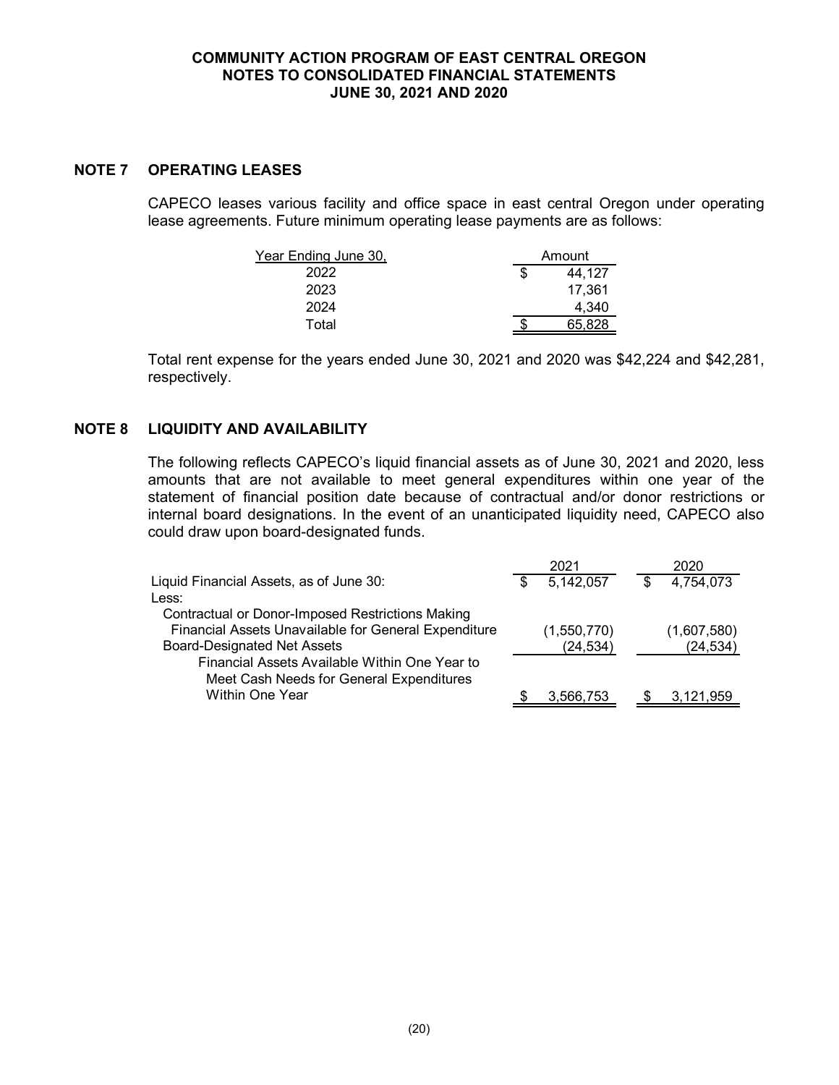#### **NOTE 7 OPERATING LEASES**

CAPECO leases various facility and office space in east central Oregon under operating lease agreements. Future minimum operating lease payments are as follows:

| Year Ending June 30, | Amount |  |  |
|----------------------|--------|--|--|
| 2022                 | 44,127 |  |  |
| 2023                 | 17,361 |  |  |
| 2024                 | 4.340  |  |  |
| Total                |        |  |  |

Total rent expense for the years ended June 30, 2021 and 2020 was \$42,224 and \$42,281, respectively.

## **NOTE 8 LIQUIDITY AND AVAILABILITY**

The following reflects CAPECO's liquid financial assets as of June 30, 2021 and 2020, less amounts that are not available to meet general expenditures within one year of the statement of financial position date because of contractual and/or donor restrictions or internal board designations. In the event of an unanticipated liquidity need, CAPECO also could draw upon board-designated funds.

|                                                         | 2021        | 2020        |
|---------------------------------------------------------|-------------|-------------|
| Liquid Financial Assets, as of June 30:                 | 5,142,057   | 4,754,073   |
| Less:                                                   |             |             |
| <b>Contractual or Donor-Imposed Restrictions Making</b> |             |             |
| Financial Assets Unavailable for General Expenditure    | (1,550,770) | (1,607,580) |
| <b>Board-Designated Net Assets</b>                      | (24, 534)   | (24, 534)   |
| Financial Assets Available Within One Year to           |             |             |
| Meet Cash Needs for General Expenditures                |             |             |
| <b>Within One Year</b>                                  | 3,566,753   | 3,121,959   |
|                                                         |             |             |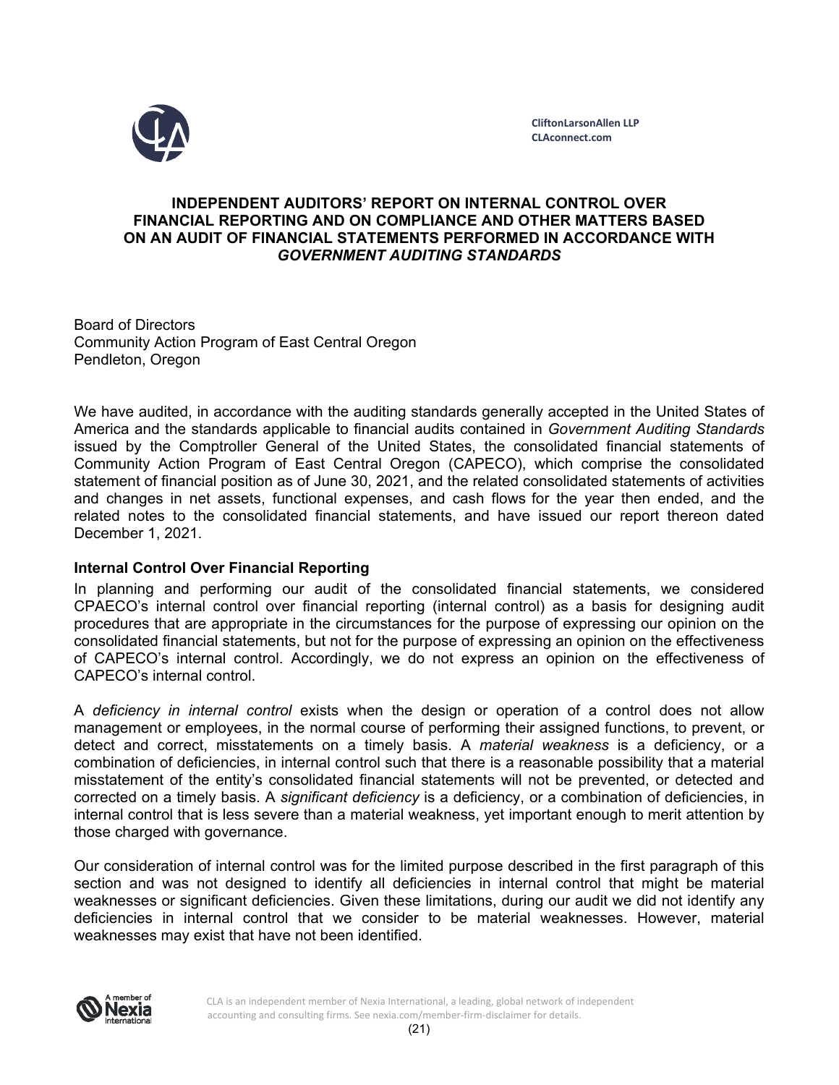

**CliftonLarsonAllen LLP CLAconnect.com**

# **INDEPENDENT AUDITORS' REPORT ON INTERNAL CONTROL OVER FINANCIAL REPORTING AND ON COMPLIANCE AND OTHER MATTERS BASED ON AN AUDIT OF FINANCIAL STATEMENTS PERFORMED IN ACCORDANCE WITH**  *GOVERNMENT AUDITING STANDARDS*

Board of Directors Community Action Program of East Central Oregon Pendleton, Oregon

We have audited, in accordance with the auditing standards generally accepted in the United States of America and the standards applicable to financial audits contained in *Government Auditing Standards*  issued by the Comptroller General of the United States, the consolidated financial statements of Community Action Program of East Central Oregon (CAPECO), which comprise the consolidated statement of financial position as of June 30, 2021, and the related consolidated statements of activities and changes in net assets, functional expenses, and cash flows for the year then ended, and the related notes to the consolidated financial statements, and have issued our report thereon dated December 1, 2021.

## **Internal Control Over Financial Reporting**

In planning and performing our audit of the consolidated financial statements, we considered CPAECO's internal control over financial reporting (internal control) as a basis for designing audit procedures that are appropriate in the circumstances for the purpose of expressing our opinion on the consolidated financial statements, but not for the purpose of expressing an opinion on the effectiveness of CAPECO's internal control. Accordingly, we do not express an opinion on the effectiveness of CAPECO's internal control.

A *deficiency in internal control* exists when the design or operation of a control does not allow management or employees, in the normal course of performing their assigned functions, to prevent, or detect and correct, misstatements on a timely basis. A *material weakness* is a deficiency, or a combination of deficiencies, in internal control such that there is a reasonable possibility that a material misstatement of the entity's consolidated financial statements will not be prevented, or detected and corrected on a timely basis. A *significant deficiency* is a deficiency, or a combination of deficiencies, in internal control that is less severe than a material weakness, yet important enough to merit attention by those charged with governance.

Our consideration of internal control was for the limited purpose described in the first paragraph of this section and was not designed to identify all deficiencies in internal control that might be material weaknesses or significant deficiencies. Given these limitations, during our audit we did not identify any deficiencies in internal control that we consider to be material weaknesses. However, material weaknesses may exist that have not been identified.



CLA is an independent member of Nexia International, a leading, global network of independent accounting and consulting firms. See nexia.com/member-firm-disclaimer for details.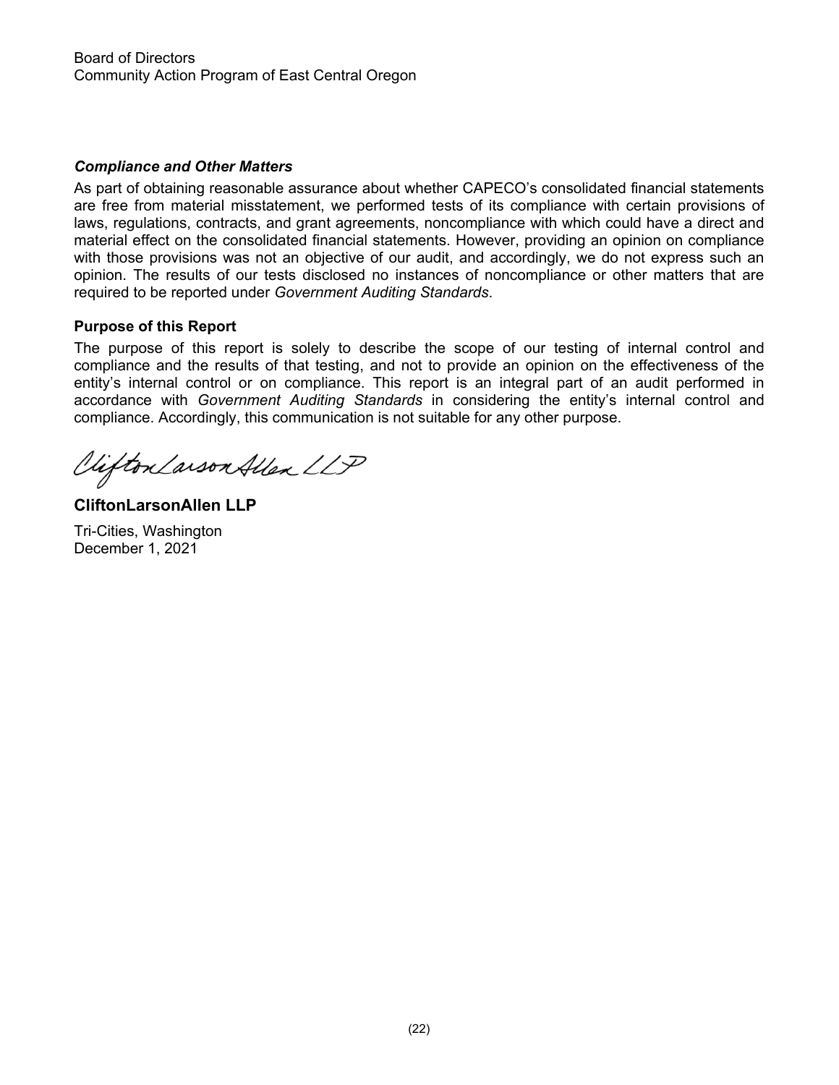## *Compliance and Other Matters*

As part of obtaining reasonable assurance about whether CAPECO's consolidated financial statements are free from material misstatement, we performed tests of its compliance with certain provisions of laws, regulations, contracts, and grant agreements, noncompliance with which could have a direct and material effect on the consolidated financial statements. However, providing an opinion on compliance with those provisions was not an objective of our audit, and accordingly, we do not express such an opinion. The results of our tests disclosed no instances of noncompliance or other matters that are required to be reported under *Government Auditing Standards*.

## **Purpose of this Report**

The purpose of this report is solely to describe the scope of our testing of internal control and compliance and the results of that testing, and not to provide an opinion on the effectiveness of the entity's internal control or on compliance. This report is an integral part of an audit performed in accordance with *Government Auditing Standards* in considering the entity's internal control and compliance. Accordingly, this communication is not suitable for any other purpose.

Clifton Larson Allen LLP

**CliftonLarsonAllen LLP**  Tri-Cities, Washington

December 1, 2021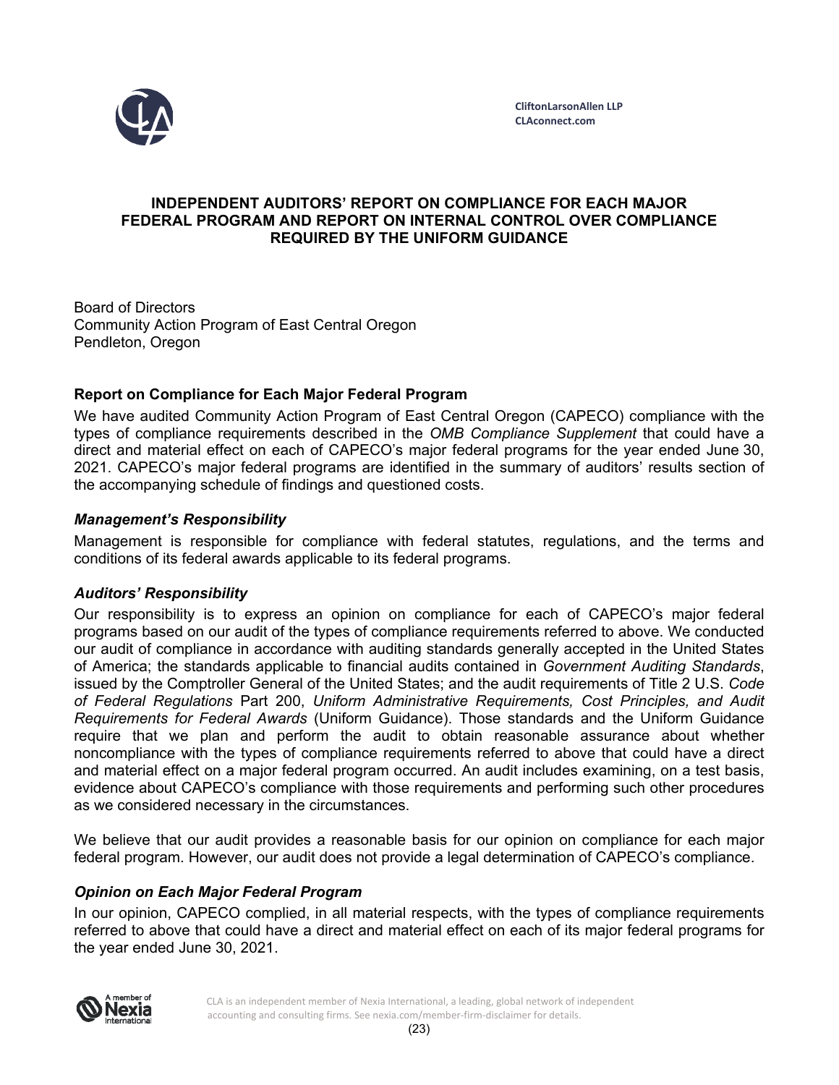

# **INDEPENDENT AUDITORS' REPORT ON COMPLIANCE FOR EACH MAJOR FEDERAL PROGRAM AND REPORT ON INTERNAL CONTROL OVER COMPLIANCE REQUIRED BY THE UNIFORM GUIDANCE**

Board of Directors Community Action Program of East Central Oregon Pendleton, Oregon

# **Report on Compliance for Each Major Federal Program**

We have audited Community Action Program of East Central Oregon (CAPECO) compliance with the types of compliance requirements described in the *OMB Compliance Supplement* that could have a direct and material effect on each of CAPECO's major federal programs for the year ended June 30, 2021. CAPECO's major federal programs are identified in the summary of auditors' results section of the accompanying schedule of findings and questioned costs.

## *Management's Responsibility*

Management is responsible for compliance with federal statutes, regulations, and the terms and conditions of its federal awards applicable to its federal programs.

## *Auditors' Responsibility*

Our responsibility is to express an opinion on compliance for each of CAPECO's major federal programs based on our audit of the types of compliance requirements referred to above. We conducted our audit of compliance in accordance with auditing standards generally accepted in the United States of America; the standards applicable to financial audits contained in *Government Auditing Standards*, issued by the Comptroller General of the United States; and the audit requirements of Title 2 U.S. *Code of Federal Regulations* Part 200, *Uniform Administrative Requirements, Cost Principles, and Audit Requirements for Federal Awards* (Uniform Guidance). Those standards and the Uniform Guidance require that we plan and perform the audit to obtain reasonable assurance about whether noncompliance with the types of compliance requirements referred to above that could have a direct and material effect on a major federal program occurred. An audit includes examining, on a test basis, evidence about CAPECO's compliance with those requirements and performing such other procedures as we considered necessary in the circumstances.

We believe that our audit provides a reasonable basis for our opinion on compliance for each major federal program. However, our audit does not provide a legal determination of CAPECO's compliance.

## *Opinion on Each Major Federal Program*

In our opinion, CAPECO complied, in all material respects, with the types of compliance requirements referred to above that could have a direct and material effect on each of its major federal programs for the year ended June 30, 2021.



CLA is an independent member of Nexia International, a leading, global network of independent accounting and consulting firms. See nexia.com/member-firm-disclaimer for details.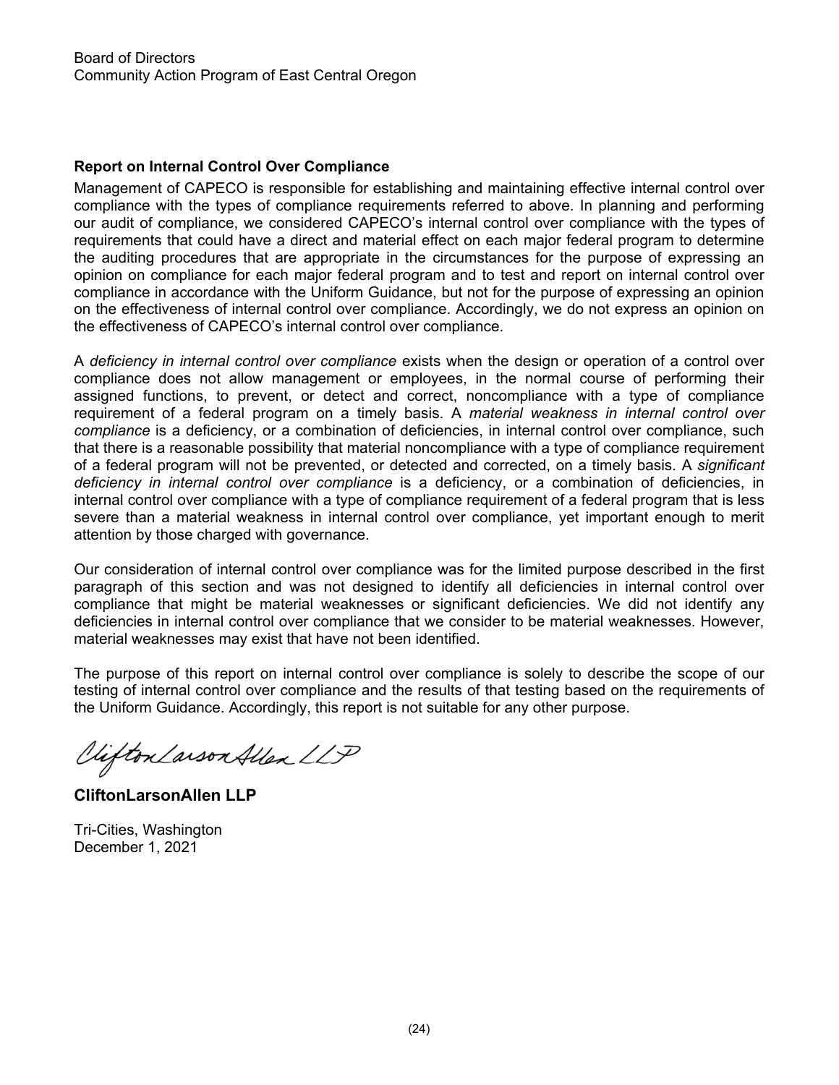# **Report on Internal Control Over Compliance**

Management of CAPECO is responsible for establishing and maintaining effective internal control over compliance with the types of compliance requirements referred to above. In planning and performing our audit of compliance, we considered CAPECO's internal control over compliance with the types of requirements that could have a direct and material effect on each major federal program to determine the auditing procedures that are appropriate in the circumstances for the purpose of expressing an opinion on compliance for each major federal program and to test and report on internal control over compliance in accordance with the Uniform Guidance, but not for the purpose of expressing an opinion on the effectiveness of internal control over compliance. Accordingly, we do not express an opinion on the effectiveness of CAPECO's internal control over compliance.

A *deficiency in internal control over compliance* exists when the design or operation of a control over compliance does not allow management or employees, in the normal course of performing their assigned functions, to prevent, or detect and correct, noncompliance with a type of compliance requirement of a federal program on a timely basis. A *material weakness in internal control over compliance* is a deficiency, or a combination of deficiencies, in internal control over compliance, such that there is a reasonable possibility that material noncompliance with a type of compliance requirement of a federal program will not be prevented, or detected and corrected, on a timely basis. A *significant deficiency in internal control over compliance* is a deficiency, or a combination of deficiencies, in internal control over compliance with a type of compliance requirement of a federal program that is less severe than a material weakness in internal control over compliance, yet important enough to merit attention by those charged with governance.

Our consideration of internal control over compliance was for the limited purpose described in the first paragraph of this section and was not designed to identify all deficiencies in internal control over compliance that might be material weaknesses or significant deficiencies. We did not identify any deficiencies in internal control over compliance that we consider to be material weaknesses. However, material weaknesses may exist that have not been identified.

The purpose of this report on internal control over compliance is solely to describe the scope of our testing of internal control over compliance and the results of that testing based on the requirements of the Uniform Guidance. Accordingly, this report is not suitable for any other purpose.

Clifton Larson Allen LLP

**CliftonLarsonAllen LLP** 

Tri-Cities, Washington December 1, 2021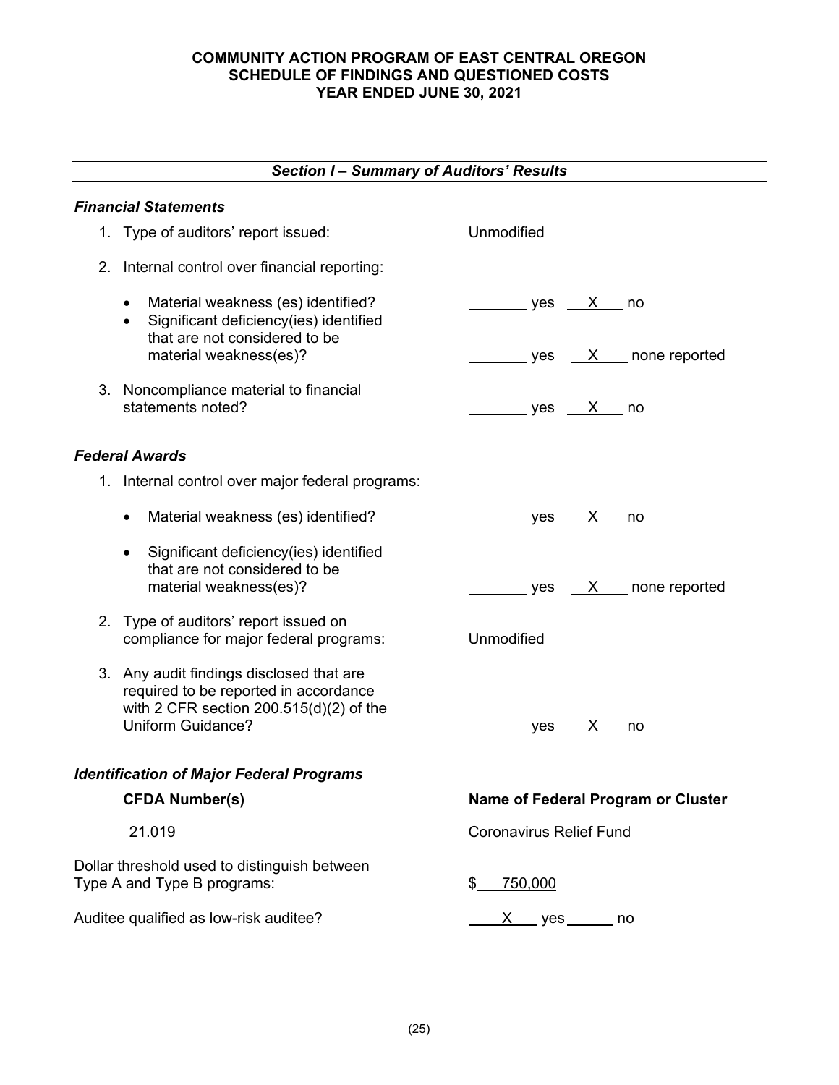# **COMMUNITY ACTION PROGRAM OF EAST CENTRAL OREGON SCHEDULE OF FINDINGS AND QUESTIONED COSTS YEAR ENDED JUNE 30, 2021**

| <b>Section I- Summary of Auditors' Results</b>                                                                                                                    |                                                     |
|-------------------------------------------------------------------------------------------------------------------------------------------------------------------|-----------------------------------------------------|
| <b>Financial Statements</b>                                                                                                                                       |                                                     |
| 1. Type of auditors' report issued:                                                                                                                               | Unmodified                                          |
| 2. Internal control over financial reporting:                                                                                                                     |                                                     |
| Material weakness (es) identified?<br>$\bullet$<br>Significant deficiency(ies) identified<br>$\bullet$<br>that are not considered to be<br>material weakness(es)? | $yes$ $X$ no<br>_ yes  __ <u>X   </u> none reported |
| 3. Noncompliance material to financial<br>statements noted?                                                                                                       | _________ yes ____X____ no                          |
| <b>Federal Awards</b>                                                                                                                                             |                                                     |
| 1. Internal control over major federal programs:                                                                                                                  |                                                     |
| Material weakness (es) identified?                                                                                                                                | _______ yes ____ <u>X___</u><br>no                  |
| Significant deficiency(ies) identified<br>٠<br>that are not considered to be<br>material weakness(es)?                                                            | <u>X</u> none reported<br>_yes                      |
| 2. Type of auditors' report issued on<br>compliance for major federal programs:                                                                                   | Unmodified                                          |
| 3. Any audit findings disclosed that are<br>required to be reported in accordance<br>with 2 CFR section $200.515(d)(2)$ of the<br>Uniform Guidance?               | yes $X$ no                                          |
| <b>Identification of Major Federal Programs</b>                                                                                                                   |                                                     |
| <b>CFDA Number(s)</b>                                                                                                                                             | Name of Federal Program or Cluster                  |
| 21.019                                                                                                                                                            | <b>Coronavirus Relief Fund</b>                      |
| Dollar threshold used to distinguish between<br>Type A and Type B programs:                                                                                       | \$<br><u>750,000</u>                                |
| Auditee qualified as low-risk auditee?                                                                                                                            | <u>X yes no</u>                                     |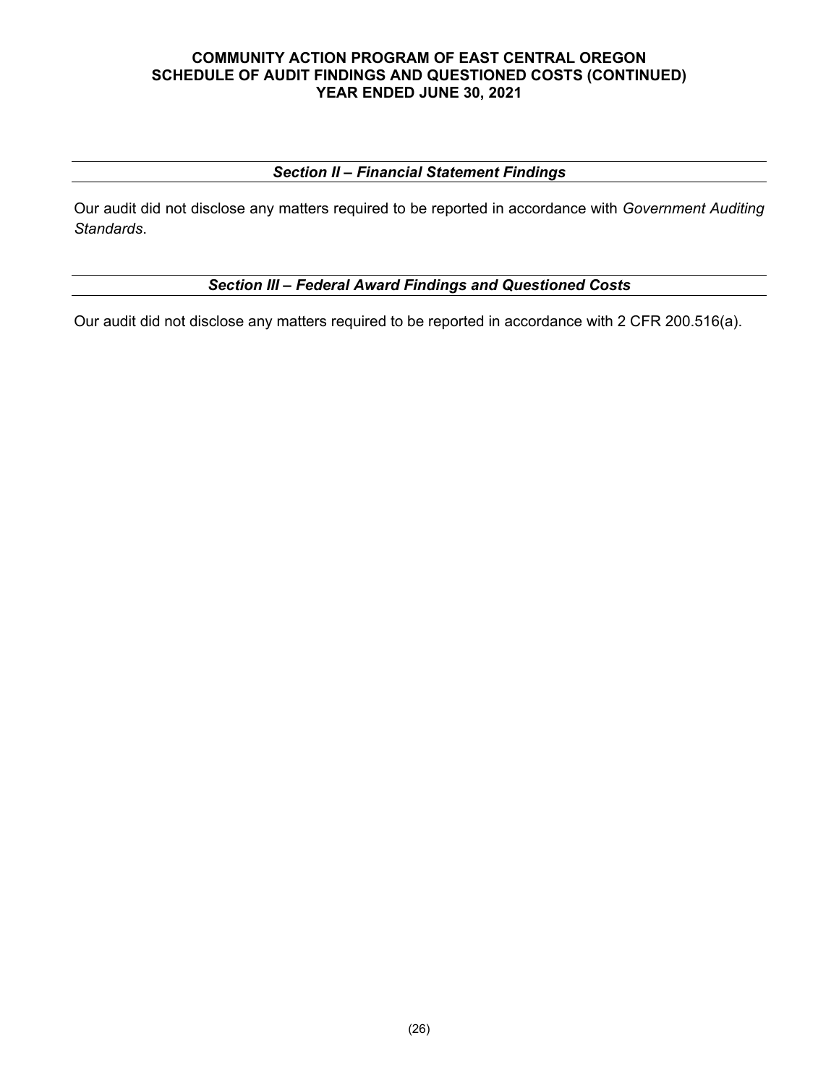## **COMMUNITY ACTION PROGRAM OF EAST CENTRAL OREGON SCHEDULE OF AUDIT FINDINGS AND QUESTIONED COSTS (CONTINUED) YEAR ENDED JUNE 30, 2021**

# *Section II – Financial Statement Findings*

Our audit did not disclose any matters required to be reported in accordance with *Government Auditing Standards*.

# *Section III – Federal Award Findings and Questioned Costs*

Our audit did not disclose any matters required to be reported in accordance with 2 CFR 200.516(a).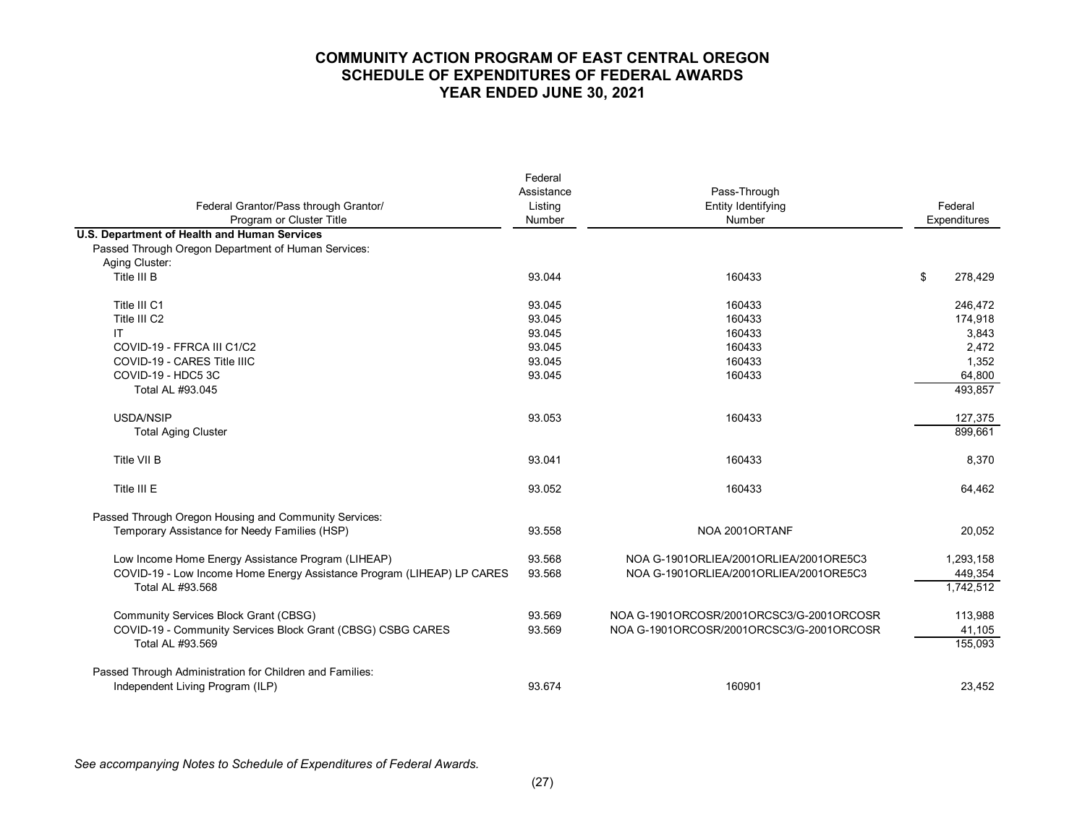### **COMMUNITY ACTION PROGRAM OF EAST CENTRAL OREGON SCHEDULE OF EXPENDITURES OF FEDERAL AWARDS YEAR ENDED JUNE 30, 2021**

| Federal Grantor/Pass through Grantor/<br>Program or Cluster Title      | Federal<br>Assistance<br>Listing<br>Number | Pass-Through<br>Entity Identifying<br>Number | Federal<br>Expenditures |
|------------------------------------------------------------------------|--------------------------------------------|----------------------------------------------|-------------------------|
| U.S. Department of Health and Human Services                           |                                            |                                              |                         |
| Passed Through Oregon Department of Human Services:                    |                                            |                                              |                         |
| Aging Cluster:                                                         |                                            |                                              |                         |
| Title III B                                                            | 93.044                                     | 160433                                       | \$<br>278,429           |
| Title III C1                                                           | 93.045                                     | 160433                                       | 246,472                 |
| Title III C2                                                           | 93.045                                     | 160433                                       | 174,918                 |
| IT                                                                     | 93.045                                     | 160433                                       | 3,843                   |
| COVID-19 - FFRCA III C1/C2                                             | 93.045                                     | 160433                                       | 2,472                   |
| COVID-19 - CARES Title IIIC                                            | 93.045                                     | 160433                                       | 1,352                   |
| COVID-19 - HDC5 3C                                                     | 93.045                                     | 160433                                       | 64,800                  |
| Total AL #93.045                                                       |                                            |                                              | 493,857                 |
| <b>USDA/NSIP</b>                                                       | 93.053                                     | 160433                                       | 127,375                 |
| <b>Total Aging Cluster</b>                                             |                                            |                                              | 899,661                 |
| Title VII B                                                            | 93.041                                     | 160433                                       | 8,370                   |
| Title III E                                                            | 93.052                                     | 160433                                       | 64,462                  |
| Passed Through Oregon Housing and Community Services:                  |                                            |                                              |                         |
| Temporary Assistance for Needy Families (HSP)                          | 93.558                                     | NOA 2001ORTANF                               | 20,052                  |
| Low Income Home Energy Assistance Program (LIHEAP)                     | 93.568                                     | NOA G-1901ORLIEA/2001ORLIEA/2001ORE5C3       | 1,293,158               |
| COVID-19 - Low Income Home Energy Assistance Program (LIHEAP) LP CARES | 93.568                                     | NOA G-1901ORLIEA/2001ORLIEA/2001ORE5C3       | 449,354                 |
| Total AL #93.568                                                       |                                            |                                              | 1,742,512               |
| Community Services Block Grant (CBSG)                                  | 93.569                                     | NOA G-1901ORCOSR/2001ORCSC3/G-2001ORCOSR     | 113,988                 |
| COVID-19 - Community Services Block Grant (CBSG) CSBG CARES            | 93.569                                     | NOA G-1901ORCOSR/2001ORCSC3/G-2001ORCOSR     | 41,105                  |
| Total AL #93.569                                                       |                                            |                                              | 155,093                 |
| Passed Through Administration for Children and Families:               |                                            |                                              |                         |
| Independent Living Program (ILP)                                       | 93.674                                     | 160901                                       | 23,452                  |

*See accompanying Notes to Schedule of Expenditures of Federal Awards.*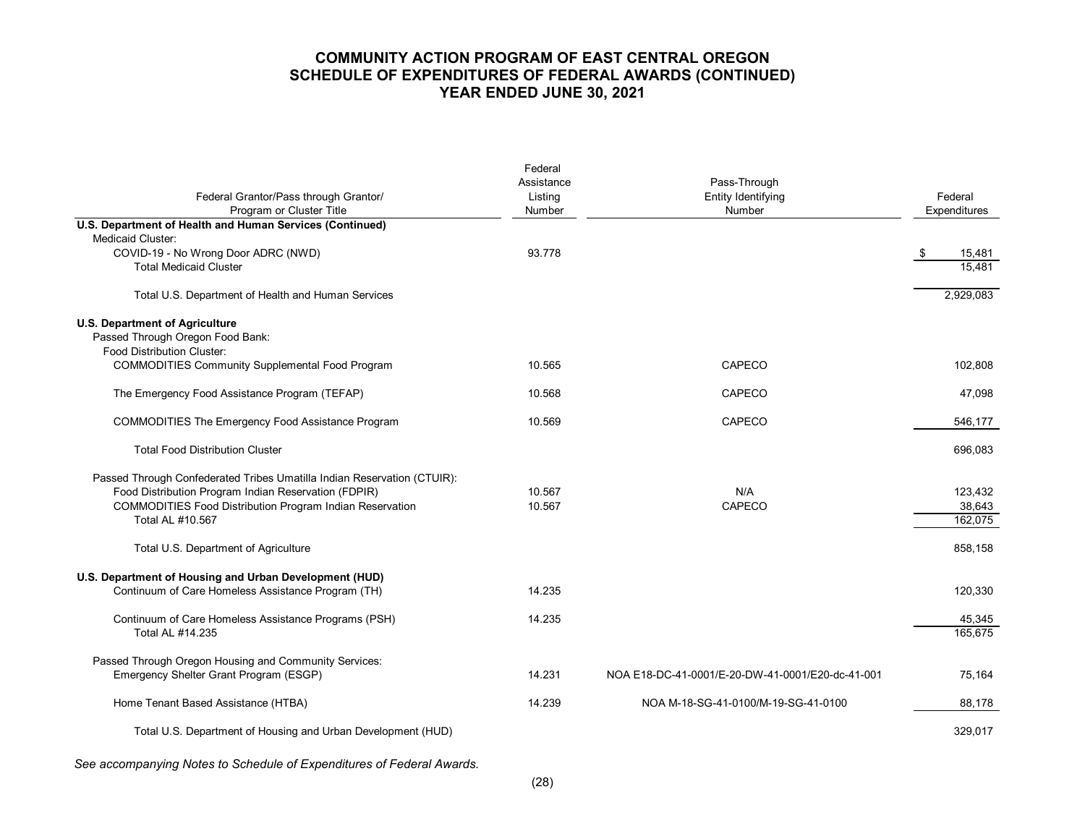### **COMMUNITY ACTION PROGRAM OF EAST CENTRAL OREGON SCHEDULE OF EXPENDITURES OF FEDERAL AWARDS (CONTINUED) YEAR ENDED JUNE 30, 2021**

|                                                                                      | Federal<br>Assistance | Pass-Through                                     |              |
|--------------------------------------------------------------------------------------|-----------------------|--------------------------------------------------|--------------|
| Federal Grantor/Pass through Grantor/                                                | Listing               | Entity Identifying                               | Federal      |
| Program or Cluster Title                                                             | Number                | Number                                           | Expenditures |
| U.S. Department of Health and Human Services (Continued)                             |                       |                                                  |              |
| Medicaid Cluster:                                                                    |                       |                                                  |              |
| COVID-19 - No Wrong Door ADRC (NWD)                                                  | 93.778                |                                                  | 15,481<br>\$ |
| <b>Total Medicaid Cluster</b>                                                        |                       |                                                  | 15.481       |
| Total U.S. Department of Health and Human Services                                   |                       |                                                  | 2,929,083    |
| <b>U.S. Department of Agriculture</b>                                                |                       |                                                  |              |
| Passed Through Oregon Food Bank:                                                     |                       |                                                  |              |
| Food Distribution Cluster:<br><b>COMMODITIES Community Supplemental Food Program</b> | 10.565                | CAPECO                                           | 102,808      |
|                                                                                      |                       |                                                  |              |
| The Emergency Food Assistance Program (TEFAP)                                        | 10.568                | CAPECO                                           | 47,098       |
|                                                                                      |                       |                                                  |              |
| COMMODITIES The Emergency Food Assistance Program                                    | 10.569                | CAPECO                                           | 546,177      |
| <b>Total Food Distribution Cluster</b>                                               |                       |                                                  | 696,083      |
| Passed Through Confederated Tribes Umatilla Indian Reservation (CTUIR):              |                       |                                                  |              |
| Food Distribution Program Indian Reservation (FDPIR)                                 | 10.567                | N/A                                              | 123,432      |
| <b>COMMODITIES Food Distribution Program Indian Reservation</b>                      | 10.567                | CAPECO                                           | 38,643       |
| Total AL #10.567                                                                     |                       |                                                  | 162,075      |
|                                                                                      |                       |                                                  |              |
| Total U.S. Department of Agriculture                                                 |                       |                                                  | 858,158      |
| U.S. Department of Housing and Urban Development (HUD)                               |                       |                                                  |              |
| Continuum of Care Homeless Assistance Program (TH)                                   | 14.235                |                                                  | 120,330      |
|                                                                                      |                       |                                                  |              |
| Continuum of Care Homeless Assistance Programs (PSH)                                 | 14.235                |                                                  | 45.345       |
| Total AL #14.235                                                                     |                       |                                                  | 165,675      |
| Passed Through Oregon Housing and Community Services:                                |                       |                                                  |              |
| Emergency Shelter Grant Program (ESGP)                                               | 14.231                | NOA E18-DC-41-0001/E-20-DW-41-0001/E20-dc-41-001 | 75,164       |
|                                                                                      |                       |                                                  |              |
| Home Tenant Based Assistance (HTBA)                                                  | 14.239                | NOA M-18-SG-41-0100/M-19-SG-41-0100              | 88,178       |
|                                                                                      |                       |                                                  | 329,017      |
| Total U.S. Department of Housing and Urban Development (HUD)                         |                       |                                                  |              |
|                                                                                      |                       |                                                  |              |

*See accompanying Notes to Schedule of Expenditures of Federal Awards.* 

(28)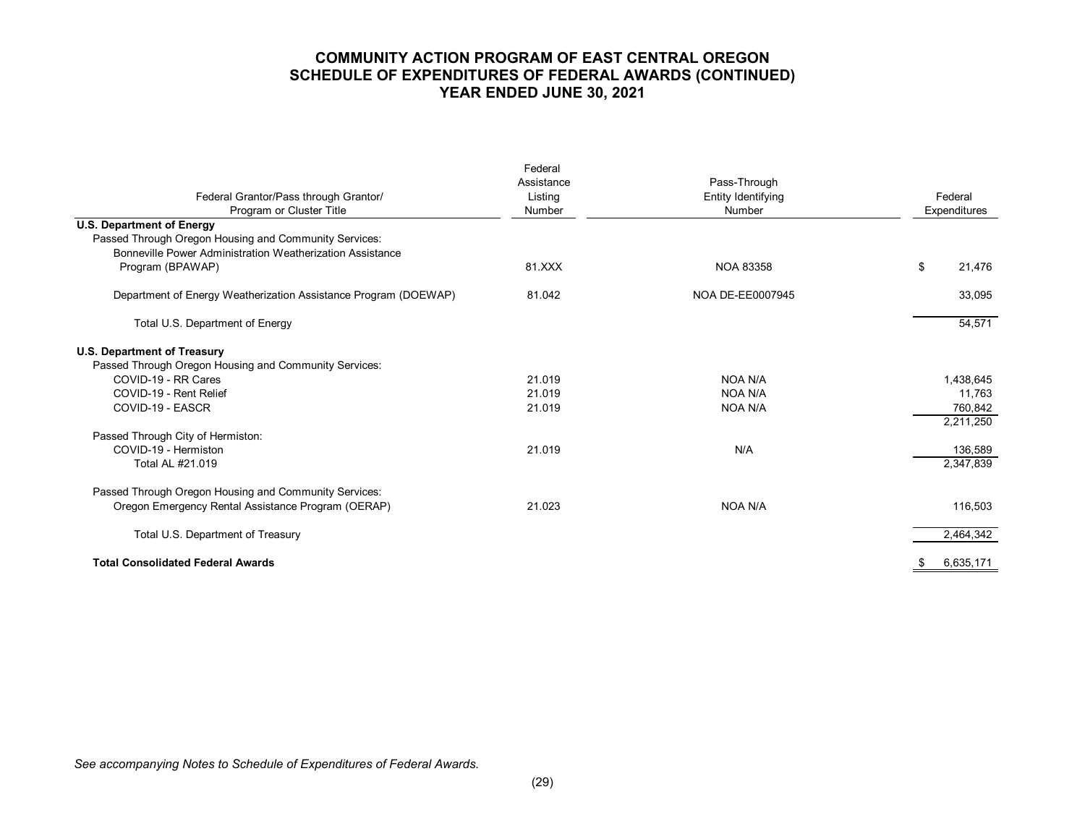## **COMMUNITY ACTION PROGRAM OF EAST CENTRAL OREGON SCHEDULE OF EXPENDITURES OF FEDERAL AWARDS (CONTINUED) YEAR ENDED JUNE 30, 2021**

|                                                                 | Federal<br>Assistance | Pass-Through       |              |
|-----------------------------------------------------------------|-----------------------|--------------------|--------------|
| Federal Grantor/Pass through Grantor/                           | Listing               | Entity Identifying | Federal      |
| Program or Cluster Title                                        | Number                | Number             | Expenditures |
| <b>U.S. Department of Energy</b>                                |                       |                    |              |
| Passed Through Oregon Housing and Community Services:           |                       |                    |              |
| Bonneville Power Administration Weatherization Assistance       |                       |                    |              |
| Program (BPAWAP)                                                | 81.XXX                | <b>NOA 83358</b>   | \$<br>21,476 |
| Department of Energy Weatherization Assistance Program (DOEWAP) | 81.042                | NOA DE-EE0007945   | 33,095       |
| Total U.S. Department of Energy                                 |                       |                    | 54,571       |
| <b>U.S. Department of Treasury</b>                              |                       |                    |              |
| Passed Through Oregon Housing and Community Services:           |                       |                    |              |
| COVID-19 - RR Cares                                             | 21.019                | NOA N/A            | 1,438,645    |
| COVID-19 - Rent Relief                                          | 21.019                | NOA N/A            | 11,763       |
| COVID-19 - EASCR                                                | 21.019                | NOA N/A            | 760,842      |
|                                                                 |                       |                    | 2,211,250    |
| Passed Through City of Hermiston:                               |                       |                    |              |
| COVID-19 - Hermiston                                            | 21.019                | N/A                | 136,589      |
| Total AL #21.019                                                |                       |                    | 2,347,839    |
| Passed Through Oregon Housing and Community Services:           |                       |                    |              |
| Oregon Emergency Rental Assistance Program (OERAP)              | 21.023                | NOA N/A            | 116,503      |
| Total U.S. Department of Treasury                               |                       |                    | 2,464,342    |
| <b>Total Consolidated Federal Awards</b>                        |                       |                    | 6,635,171    |

*See accompanying Notes to Schedule of Expenditures of Federal Awards.*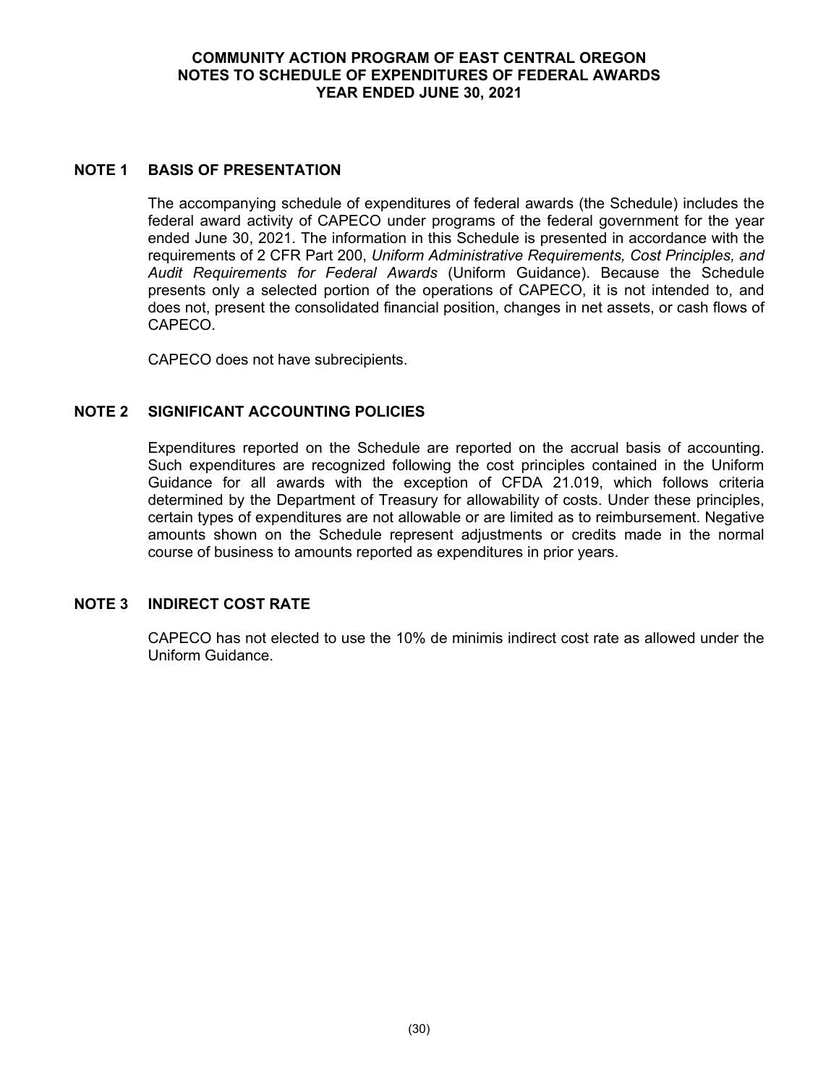## **COMMUNITY ACTION PROGRAM OF EAST CENTRAL OREGON NOTES TO SCHEDULE OF EXPENDITURES OF FEDERAL AWARDS YEAR ENDED JUNE 30, 2021**

## **NOTE 1 BASIS OF PRESENTATION**

The accompanying schedule of expenditures of federal awards (the Schedule) includes the federal award activity of CAPECO under programs of the federal government for the year ended June 30, 2021. The information in this Schedule is presented in accordance with the requirements of 2 CFR Part 200, *Uniform Administrative Requirements, Cost Principles, and Audit Requirements for Federal Awards* (Uniform Guidance). Because the Schedule presents only a selected portion of the operations of CAPECO, it is not intended to, and does not, present the consolidated financial position, changes in net assets, or cash flows of CAPECO.

CAPECO does not have subrecipients.

## **NOTE 2 SIGNIFICANT ACCOUNTING POLICIES**

Expenditures reported on the Schedule are reported on the accrual basis of accounting. Such expenditures are recognized following the cost principles contained in the Uniform Guidance for all awards with the exception of CFDA 21.019, which follows criteria determined by the Department of Treasury for allowability of costs. Under these principles, certain types of expenditures are not allowable or are limited as to reimbursement. Negative amounts shown on the Schedule represent adjustments or credits made in the normal course of business to amounts reported as expenditures in prior years.

# **NOTE 3 INDIRECT COST RATE**

CAPECO has not elected to use the 10% de minimis indirect cost rate as allowed under the Uniform Guidance.